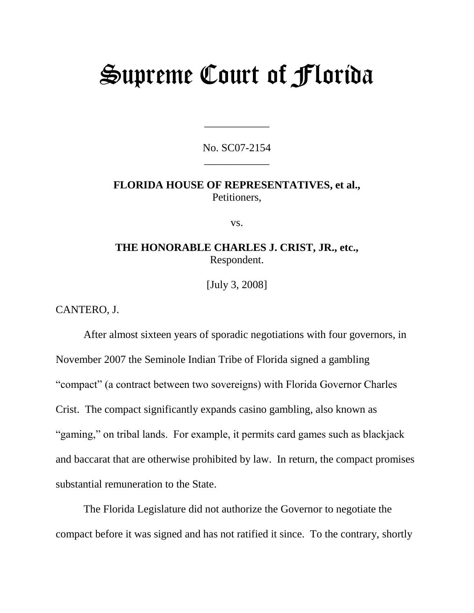# Supreme Court of Florida

\_\_\_\_\_\_\_\_\_\_\_\_ No. SC07-2154

\_\_\_\_\_\_\_\_\_\_\_\_

**FLORIDA HOUSE OF REPRESENTATIVES, et al.,**  Petitioners,

vs.

# **THE HONORABLE CHARLES J. CRIST, JR., etc.,**  Respondent.

[July 3, 2008]

CANTERO, J.

"gaming," on tribal lands. For example, it permits card games such as blackjack and baccarat that are otherwise prohibited by law. In return, the compact promises After almost sixteen years of sporadic negotiations with four governors, in November 2007 the Seminole Indian Tribe of Florida signed a gambling ―compact‖ (a contract between two sovereigns) with Florida Governor Charles Crist. The compact significantly expands casino gambling, also known as substantial remuneration to the State.

 compact before it was signed and has not ratified it since. To the contrary, shortly The Florida Legislature did not authorize the Governor to negotiate the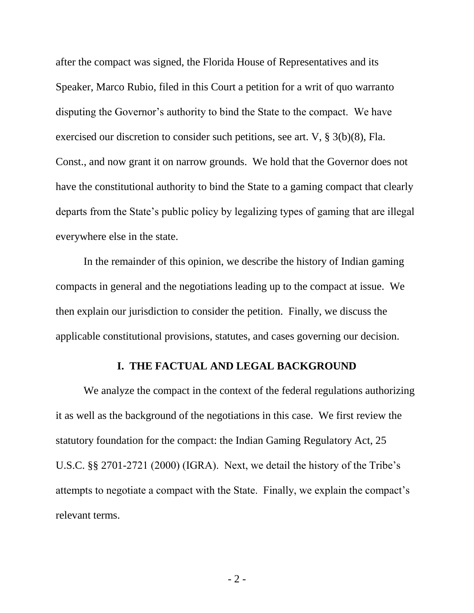after the compact was signed, the Florida House of Representatives and its Const., and now grant it on narrow grounds. We hold that the Governor does not have the constitutional authority to bind the State to a gaming compact that clearly everywhere else in the state. Speaker, Marco Rubio, filed in this Court a petition for a writ of quo warranto disputing the Governor's authority to bind the State to the compact. We have exercised our discretion to consider such petitions, see art. V, § 3(b)(8), Fla. departs from the State's public policy by legalizing types of gaming that are illegal

 In the remainder of this opinion, we describe the history of Indian gaming compacts in general and the negotiations leading up to the compact at issue. We then explain our jurisdiction to consider the petition. Finally, we discuss the applicable constitutional provisions, statutes, and cases governing our decision.

#### **I. THE FACTUAL AND LEGAL BACKGROUND**

 it as well as the background of the negotiations in this case. We first review the relevant terms. We analyze the compact in the context of the federal regulations authorizing statutory foundation for the compact: the Indian Gaming Regulatory Act, 25 U.S.C. §§ 2701-2721 (2000) (IGRA). Next, we detail the history of the Tribe's attempts to negotiate a compact with the State. Finally, we explain the compact's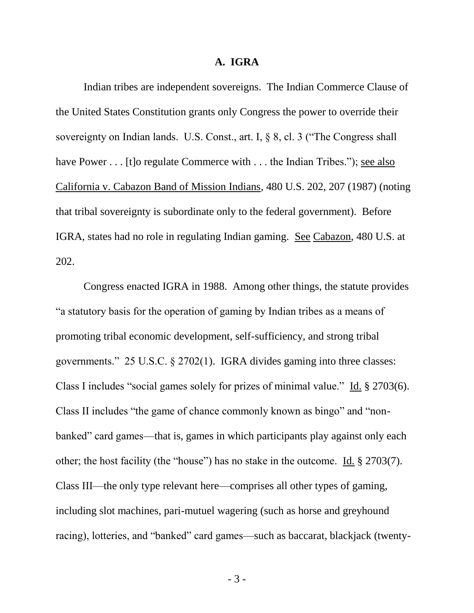#### **A. IGRA**

 the United States Constitution grants only Congress the power to override their have Power . . . [t]o regulate Commerce with . . . the Indian Tribes."); see also that tribal sovereignty is subordinate only to the federal government). Before Indian tribes are independent sovereigns. The Indian Commerce Clause of sovereignty on Indian lands. U.S. Const., art. I,  $\S$  8, cl. 3 ("The Congress shall California v. Cabazon Band of Mission Indians, 480 U.S. 202, 207 (1987) (noting IGRA, states had no role in regulating Indian gaming. See Cabazon, 480 U.S. at 202.

 ―a statutory basis for the operation of gaming by Indian tribes as a means of Class I includes "social games solely for prizes of minimal value." Id.  $\S 2703(6)$ . banked" card games—that is, games in which participants play against only each other; the host facility (the "house") has no stake in the outcome. Id.  $\S 2703(7)$ . racing), lotteries, and "banked" card games—such as baccarat, blackjack (twenty-Congress enacted IGRA in 1988. Among other things, the statute provides promoting tribal economic development, self-sufficiency, and strong tribal governments." 25 U.S.C.  $\S 2702(1)$ . IGRA divides gaming into three classes: Class II includes "the game of chance commonly known as bingo" and "non-Class III—the only type relevant here—comprises all other types of gaming, including slot machines, pari-mutuel wagering (such as horse and greyhound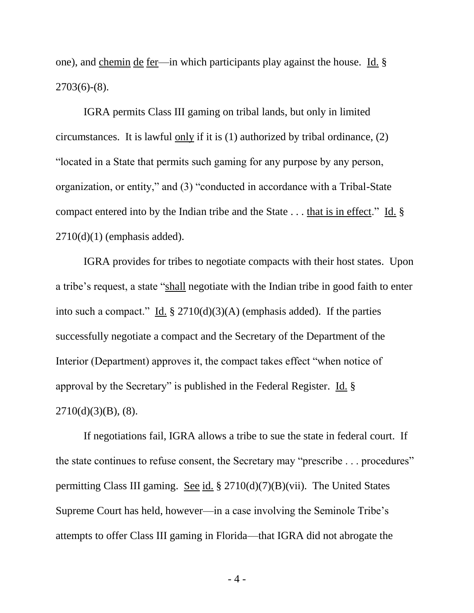one), and chemin de fer—in which participants play against the house. Id. §  $2703(6)-(8)$ .

 IGRA permits Class III gaming on tribal lands, but only in limited circumstances. It is lawful  $\underline{\text{only}}$  if it is (1) authorized by tribal ordinance, (2) compact entered into by the Indian tribe and the State  $\dots$  that is in effect." Id. § ―located in a State that permits such gaming for any purpose by any person, organization, or entity," and (3) "conducted in accordance with a Tribal-State  $2710(d)(1)$  (emphasis added).

into such a compact." Id. § 2710(d)(3)(A) (emphasis added). If the parties IGRA provides for tribes to negotiate compacts with their host states. Upon a tribe's request, a state "shall negotiate with the Indian tribe in good faith to enter successfully negotiate a compact and the Secretary of the Department of the Interior (Department) approves it, the compact takes effect "when notice of approval by the Secretary" is published in the Federal Register. Id.  $\S$  $2710(d)(3)(B)$ , (8).

the state continues to refuse consent, the Secretary may "prescribe . . . procedures" permitting Class III gaming. See id. § 2710(d)(7)(B)(vii). The United States If negotiations fail, IGRA allows a tribe to sue the state in federal court. If Supreme Court has held, however—in a case involving the Seminole Tribe's attempts to offer Class III gaming in Florida—that IGRA did not abrogate the

- 4 -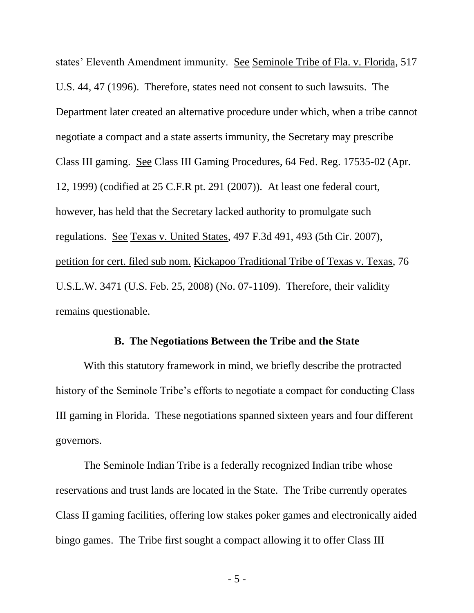negotiate a compact and a state asserts immunity, the Secretary may prescribe however, has held that the Secretary lacked authority to promulgate such petition for cert. filed sub nom. Kickapoo Traditional Tribe of Texas v. Texas, 76 states' Eleventh Amendment immunity. See Seminole Tribe of Fla. v. Florida, 517 U.S. 44, 47 (1996). Therefore, states need not consent to such lawsuits. The Department later created an alternative procedure under which, when a tribe cannot Class III gaming. See Class III Gaming Procedures, 64 Fed. Reg. 17535-02 (Apr. 12, 1999) (codified at 25 C.F.R pt. 291 (2007)). At least one federal court, regulations. See Texas v. United States, 497 F.3d 491, 493 (5th Cir. 2007), U.S.L.W. 3471 (U.S. Feb. 25, 2008) (No. 07-1109). Therefore, their validity remains questionable.

#### **B. The Negotiations Between the Tribe and the State**

 III gaming in Florida. These negotiations spanned sixteen years and four different With this statutory framework in mind, we briefly describe the protracted history of the Seminole Tribe's efforts to negotiate a compact for conducting Class governors.

 bingo games. The Tribe first sought a compact allowing it to offer Class III The Seminole Indian Tribe is a federally recognized Indian tribe whose reservations and trust lands are located in the State. The Tribe currently operates Class II gaming facilities, offering low stakes poker games and electronically aided

- 5 -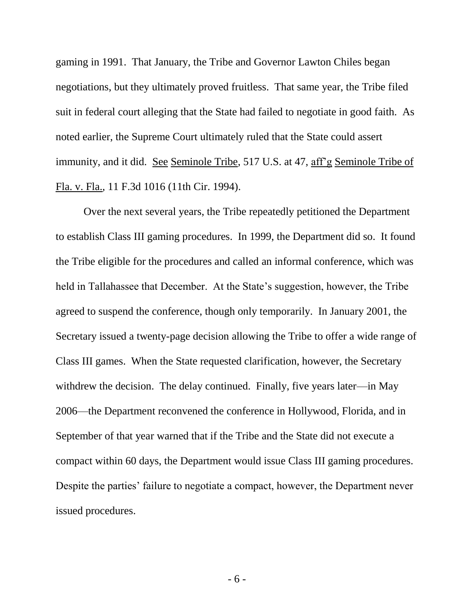immunity, and it did. See Seminole Tribe, 517 U.S. at 47, aff'g Seminole Tribe of gaming in 1991. That January, the Tribe and Governor Lawton Chiles began negotiations, but they ultimately proved fruitless. That same year, the Tribe filed suit in federal court alleging that the State had failed to negotiate in good faith. As noted earlier, the Supreme Court ultimately ruled that the State could assert Fla. v. Fla., 11 F.3d 1016 (11th Cir. 1994).

 the Tribe eligible for the procedures and called an informal conference, which was agreed to suspend the conference, though only temporarily. In January 2001, the 2006—the Department reconvened the conference in Hollywood, Florida, and in compact within 60 days, the Department would issue Class III gaming procedures. Despite the parties' failure to negotiate a compact, however, the Department never issued procedures. Over the next several years, the Tribe repeatedly petitioned the Department to establish Class III gaming procedures. In 1999, the Department did so. It found held in Tallahassee that December. At the State's suggestion, however, the Tribe Secretary issued a twenty-page decision allowing the Tribe to offer a wide range of Class III games. When the State requested clarification, however, the Secretary withdrew the decision. The delay continued. Finally, five years later—in May September of that year warned that if the Tribe and the State did not execute a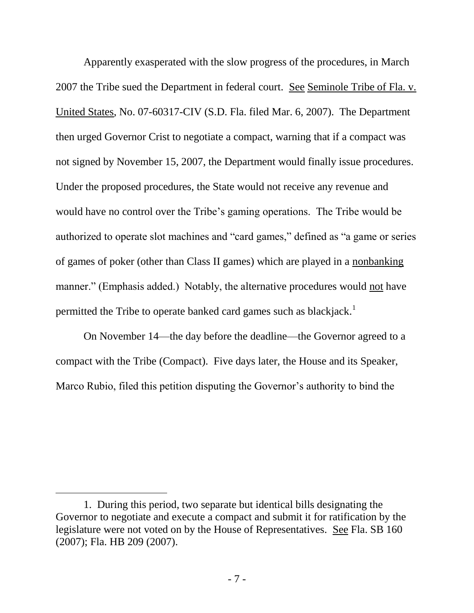then urged Governor Crist to negotiate a compact, warning that if a compact was Apparently exasperated with the slow progress of the procedures, in March 2007 the Tribe sued the Department in federal court. See Seminole Tribe of Fla. v. United States, No. 07-60317-CIV (S.D. Fla. filed Mar. 6, 2007). The Department not signed by November 15, 2007, the Department would finally issue procedures. Under the proposed procedures, the State would not receive any revenue and would have no control over the Tribe's gaming operations. The Tribe would be authorized to operate slot machines and "card games," defined as "a game or series of games of poker (other than Class II games) which are played in a nonbanking manner." (Emphasis added.) Notably, the alternative procedures would not have permitted the Tribe to operate banked card games such as blackjack.<sup>1</sup>

On November 14—the day before the deadline—the Governor agreed to a compact with the Tribe (Compact). Five days later, the House and its Speaker, Marco Rubio, filed this petition disputing the Governor's authority to bind the

 1. During this period, two separate but identical bills designating the legislature were not voted on by the House of Representatives. See Fla. SB 160 Governor to negotiate and execute a compact and submit it for ratification by the (2007); Fla. HB 209 (2007).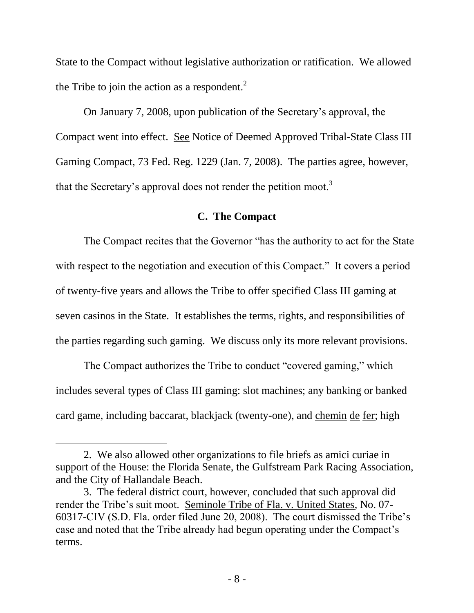the Tribe to join the action as a respondent. $^{2}$ State to the Compact without legislative authorization or ratification. We allowed

On January 7, 2008, upon publication of the Secretary's approval, the Compact went into effect. See Notice of Deemed Approved Tribal-State Class III Gaming Compact, 73 Fed. Reg. 1229 (Jan. 7, 2008). The parties agree, however, that the Secretary's approval does not render the petition moot.<sup>3</sup>

## **C. The Compact**

 the parties regarding such gaming. We discuss only its more relevant provisions. The Compact recites that the Governor "has the authority to act for the State with respect to the negotiation and execution of this Compact." It covers a period of twenty-five years and allows the Tribe to offer specified Class III gaming at seven casinos in the State. It establishes the terms, rights, and responsibilities of

 includes several types of Class III gaming: slot machines; any banking or banked card game, including baccarat, blackjack (twenty-one), and chemin de fer; high The Compact authorizes the Tribe to conduct "covered gaming," which

l

<sup>2.</sup> We also allowed other organizations to file briefs as amici curiae in support of the House: the Florida Senate, the Gulfstream Park Racing Association, and the City of Hallandale Beach.

 3. The federal district court, however, concluded that such approval did case and noted that the Tribe already had begun operating under the Compact's render the Tribe's suit moot. Seminole Tribe of Fla. v. United States, No. 07- 60317-CIV (S.D. Fla. order filed June 20, 2008). The court dismissed the Tribe's terms.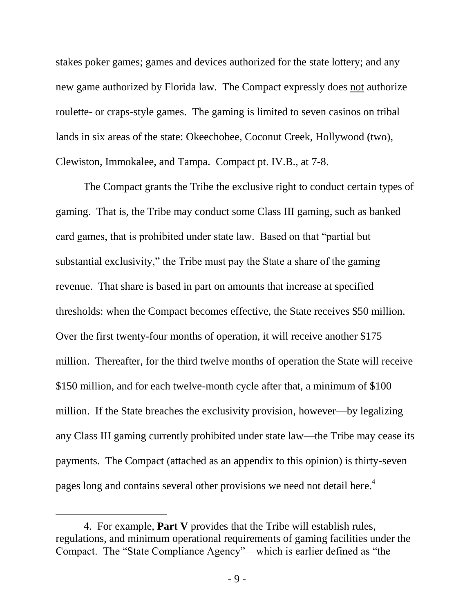roulette- or craps-style games. The gaming is limited to seven casinos on tribal Clewiston, Immokalee, and Tampa. Compact pt. IV.B., at 7-8. stakes poker games; games and devices authorized for the state lottery; and any new game authorized by Florida law. The Compact expressly does not authorize lands in six areas of the state: Okeechobee, Coconut Creek, Hollywood (two),

card games, that is prohibited under state law. Based on that "partial but revenue. That share is based in part on amounts that increase at specified payments. The Compact (attached as an appendix to this opinion) is thirty-seven pages long and contains several other provisions we need not detail here.<sup>4</sup> The Compact grants the Tribe the exclusive right to conduct certain types of gaming. That is, the Tribe may conduct some Class III gaming, such as banked substantial exclusivity," the Tribe must pay the State a share of the gaming thresholds: when the Compact becomes effective, the State receives \$50 million. Over the first twenty-four months of operation, it will receive another \$175 million. Thereafter, for the third twelve months of operation the State will receive \$150 million, and for each twelve-month cycle after that, a minimum of \$100 million. If the State breaches the exclusivity provision, however—by legalizing any Class III gaming currently prohibited under state law—the Tribe may cease its

 regulations, and minimum operational requirements of gaming facilities under the 4. For example, **Part V** provides that the Tribe will establish rules, Compact. The "State Compliance Agency"—which is earlier defined as "the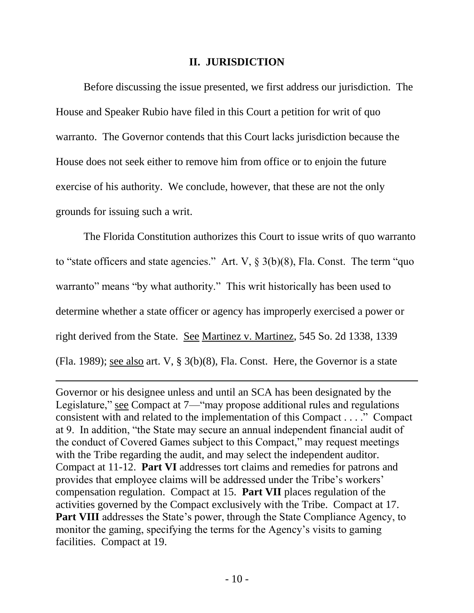## **II. JURISDICTION**

 House and Speaker Rubio have filed in this Court a petition for writ of quo Before discussing the issue presented, we first address our jurisdiction. The warranto. The Governor contends that this Court lacks jurisdiction because the House does not seek either to remove him from office or to enjoin the future exercise of his authority. We conclude, however, that these are not the only grounds for issuing such a writ.

 The Florida Constitution authorizes this Court to issue writs of quo warranto to "state officers and state agencies." Art. V,  $\S$  3(b)(8), Fla. Const. The term "quo warranto" means "by what authority." This writ historically has been used to right derived from the State. See Martinez v. Martinez, 545 So. 2d 1338, 1339 determine whether a state officer or agency has improperly exercised a power or (Fla. 1989); see also art. V, § 3(b)(8), Fla. Const. Here, the Governor is a state

consistent with and related to the implementation of this Compact  $\dots$ ." Compact Compact at 11-12. **Part VI** addresses tort claims and remedies for patrons and compensation regulation. Compact at 15. **Part VII** places regulation of the monitor the gaming, specifying the terms for the Agency's visits to gaming Governor or his designee unless and until an SCA has been designated by the Legislature," see Compact at 7— "may propose additional rules and regulations" at 9. In addition, "the State may secure an annual independent financial audit of the conduct of Covered Games subject to this Compact," may request meetings with the Tribe regarding the audit, and may select the independent auditor. provides that employee claims will be addressed under the Tribe's workers' activities governed by the Compact exclusively with the Tribe. Compact at 17. **Part VIII** addresses the State's power, through the State Compliance Agency, to facilities. Compact at 19.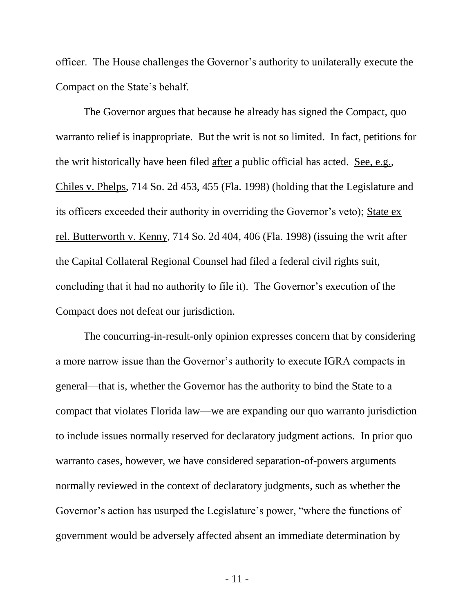officer. The House challenges the Governor's authority to unilaterally execute the Compact on the State's behalf.

 warranto relief is inappropriate. But the writ is not so limited. In fact, petitions for the writ historically have been filed after a public official has acted. See, e.g., Chiles v. Phelps, 714 So. 2d 453, 455 (Fla. 1998) (holding that the Legislature and the Capital Collateral Regional Counsel had filed a federal civil rights suit, concluding that it had no authority to file it). The Governor's execution of the Compact does not defeat our jurisdiction. The Governor argues that because he already has signed the Compact, quo its officers exceeded their authority in overriding the Governor's veto); State ex rel. Butterworth v. Kenny, 714 So. 2d 404, 406 (Fla. 1998) (issuing the writ after

 to include issues normally reserved for declaratory judgment actions. In prior quo The concurring-in-result-only opinion expresses concern that by considering a more narrow issue than the Governor's authority to execute IGRA compacts in general—that is, whether the Governor has the authority to bind the State to a compact that violates Florida law—we are expanding our quo warranto jurisdiction warranto cases, however, we have considered separation-of-powers arguments normally reviewed in the context of declaratory judgments, such as whether the Governor's action has usurped the Legislature's power, "where the functions of government would be adversely affected absent an immediate determination by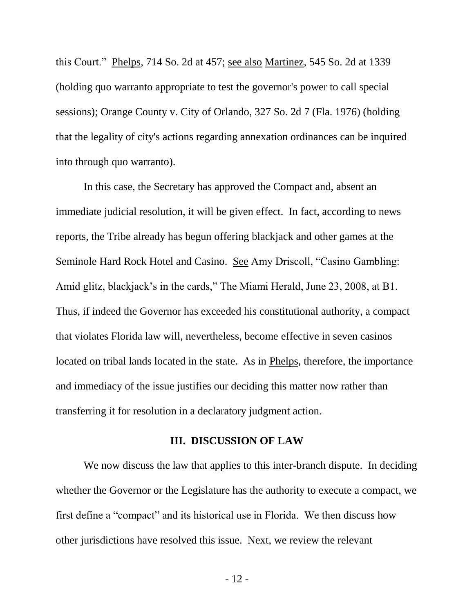(holding quo warranto appropriate to test the governor's power to call special sessions); Orange County v. City of Orlando, 327 So. 2d 7 (Fla. 1976) (holding that the legality of city's actions regarding annexation ordinances can be inquired into through quo warranto). this Court.‖ Phelps, 714 So. 2d at 457; see also Martinez, 545 So. 2d at 1339

 that violates Florida law will, nevertheless, become effective in seven casinos located on tribal lands located in the state. As in Phelps, therefore, the importance transferring it for resolution in a declaratory judgment action. In this case, the Secretary has approved the Compact and, absent an immediate judicial resolution, it will be given effect. In fact, according to news reports, the Tribe already has begun offering blackjack and other games at the Seminole Hard Rock Hotel and Casino. See Amy Driscoll, "Casino Gambling: Amid glitz, blackjack's in the cards," The Miami Herald, June 23, 2008, at B1. Thus, if indeed the Governor has exceeded his constitutional authority, a compact and immediacy of the issue justifies our deciding this matter now rather than

#### **III. DISCUSSION OF LAW**

 We now discuss the law that applies to this inter-branch dispute. In deciding whether the Governor or the Legislature has the authority to execute a compact, we first define a "compact" and its historical use in Florida. We then discuss how other jurisdictions have resolved this issue. Next, we review the relevant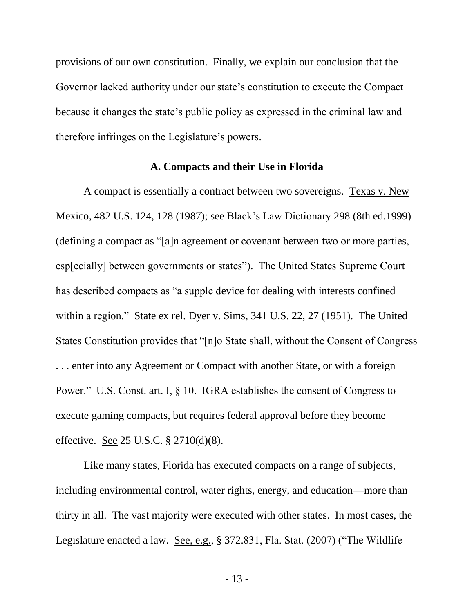provisions of our own constitution. Finally, we explain our conclusion that the Governor lacked authority under our state's constitution to execute the Compact because it changes the state's public policy as expressed in the criminal law and therefore infringes on the Legislature's powers.

#### **A. Compacts and their Use in Florida**

A compact is essentially a contract between two sovereigns. Texas v. New within a region." State ex rel. Dyer v. Sims, 341 U.S. 22, 27 (1951). The United States Constitution provides that "[n]o State shall, without the Consent of Congress Mexico, 482 U.S. 124, 128 (1987); see Black's Law Dictionary 298 (8th ed.1999) (defining a compact as "[a]n agreement or covenant between two or more parties, esp[ecially] between governments or states"). The United States Supreme Court has described compacts as "a supple device for dealing with interests confined . . . enter into any Agreement or Compact with another State, or with a foreign Power." U.S. Const. art. I, § 10. IGRA establishes the consent of Congress to execute gaming compacts, but requires federal approval before they become effective. See 25 U.S.C. § 2710(d)(8).

Like many states, Florida has executed compacts on a range of subjects, including environmental control, water rights, energy, and education—more than thirty in all. The vast majority were executed with other states. In most cases, the Legislature enacted a law. See, e.g., § 372.831, Fla. Stat. (2007) ("The Wildlife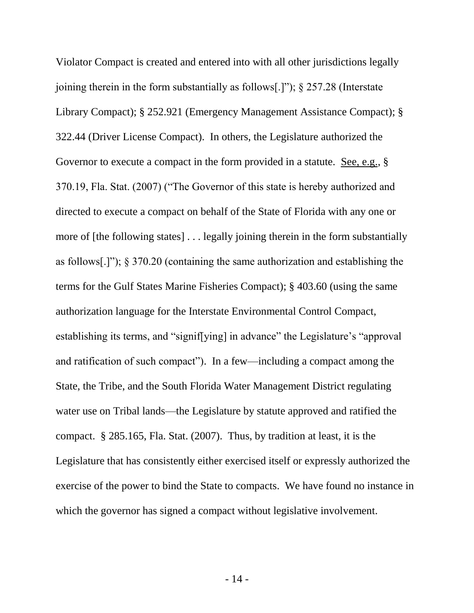Violator Compact is created and entered into with all other jurisdictions legally joining therein in the form substantially as follows[.]");  $\S$  257.28 (Interstate Library Compact); § 252.921 (Emergency Management Assistance Compact); § Governor to execute a compact in the form provided in a statute. See, e.g., § 370.19, Fla. Stat. (2007) ("The Governor of this state is hereby authorized and terms for the Gulf States Marine Fisheries Compact); § 403.60 (using the same exercise of the power to bind the State to compacts. We have found no instance in which the governor has signed a compact without legislative involvement. 322.44 (Driver License Compact). In others, the Legislature authorized the directed to execute a compact on behalf of the State of Florida with any one or more of [the following states] . . . legally joining therein in the form substantially as follows[.]");  $\S 370.20$  (containing the same authorization and establishing the authorization language for the Interstate Environmental Control Compact, establishing its terms, and "signif[ying] in advance" the Legislature's "approval and ratification of such compact"). In a few—including a compact among the State, the Tribe, and the South Florida Water Management District regulating water use on Tribal lands—the Legislature by statute approved and ratified the compact. § 285.165, Fla. Stat. (2007). Thus, by tradition at least, it is the Legislature that has consistently either exercised itself or expressly authorized the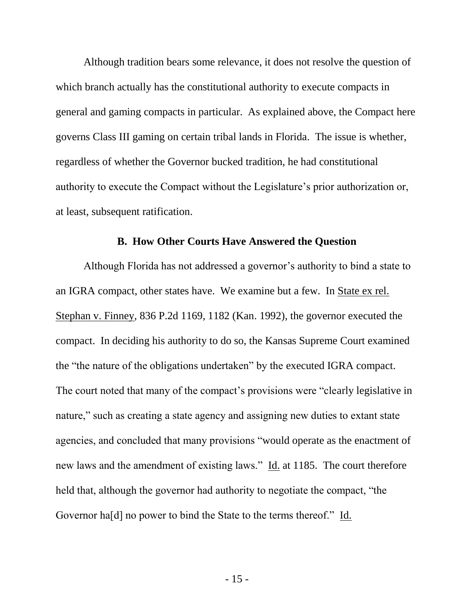which branch actually has the constitutional authority to execute compacts in general and gaming compacts in particular. As explained above, the Compact here Although tradition bears some relevance, it does not resolve the question of governs Class III gaming on certain tribal lands in Florida. The issue is whether, regardless of whether the Governor bucked tradition, he had constitutional authority to execute the Compact without the Legislature's prior authorization or, at least, subsequent ratification.

#### **B. How Other Courts Have Answered the Question**

The court noted that many of the compact's provisions were "clearly legislative in new laws and the amendment of existing laws." Id. at 1185. The court therefore Although Florida has not addressed a governor's authority to bind a state to an IGRA compact, other states have. We examine but a few. In State ex rel. Stephan v. Finney, 836 P.2d 1169, 1182 (Kan. 1992), the governor executed the compact. In deciding his authority to do so, the Kansas Supreme Court examined the "the nature of the obligations undertaken" by the executed IGRA compact. nature," such as creating a state agency and assigning new duties to extant state agencies, and concluded that many provisions "would operate as the enactment of held that, although the governor had authority to negotiate the compact, "the Governor ha[d] no power to bind the State to the terms thereof." Id.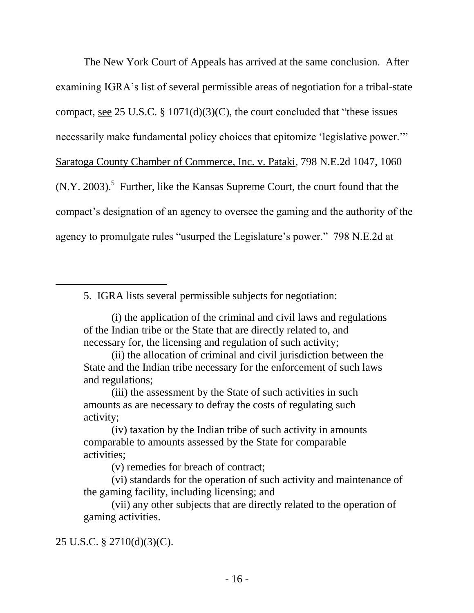$(N.Y. 2003).$ <sup>5</sup> Further, like the Kansas Supreme Court, the court found that the agency to promulgate rules "usurped the Legislature's power." 798 N.E.2d at The New York Court of Appeals has arrived at the same conclusion. After examining IGRA's list of several permissible areas of negotiation for a tribal-state compact, see 25 U.S.C.  $\S 1071(d)(3)(C)$ , the court concluded that "these issues necessarily make fundamental policy choices that epitomize 'legislative power.'" Saratoga County Chamber of Commerce, Inc. v. Pataki, 798 N.E.2d 1047, 1060 compact's designation of an agency to oversee the gaming and the authority of the

(v) remedies for breach of contract;

# 25 U.S.C. § 2710(d)(3)(C).

<sup>5.</sup> IGRA lists several permissible subjects for negotiation:

 of the Indian tribe or the State that are directly related to, and (i) the application of the criminal and civil laws and regulations necessary for, the licensing and regulation of such activity;

 State and the Indian tribe necessary for the enforcement of such laws (ii) the allocation of criminal and civil jurisdiction between the and regulations;

 (iii) the assessment by the State of such activities in such amounts as are necessary to defray the costs of regulating such activity;

<sup>(</sup>iv) taxation by the Indian tribe of such activity in amounts comparable to amounts assessed by the State for comparable activities;

<sup>(</sup>vi) standards for the operation of such activity and maintenance of the gaming facility, including licensing; and

<sup>(</sup>vii) any other subjects that are directly related to the operation of gaming activities.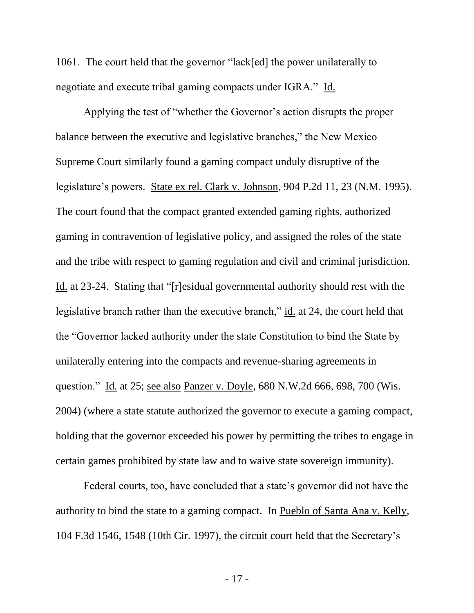negotiate and execute tribal gaming compacts under IGRA." Id. 1061. The court held that the governor "lack[ed] the power unilaterally to

Applying the test of "whether the Governor's action disrupts the proper The court found that the compact granted extended gaming rights, authorized gaming in contravention of legislative policy, and assigned the roles of the state Id. at 23-24. Stating that "[r]esidual governmental authority should rest with the legislative branch rather than the executive branch," id. at 24, the court held that the "Governor lacked authority under the state Constitution to bind the State by question." Id. at 25; see also Panzer v. Doyle, 680 N.W.2d 666, 698, 700 (Wis. holding that the governor exceeded his power by permitting the tribes to engage in certain games prohibited by state law and to waive state sovereign immunity). balance between the executive and legislative branches," the New Mexico Supreme Court similarly found a gaming compact unduly disruptive of the legislature's powers. State ex rel. Clark v. Johnson, 904 P.2d 11, 23 (N.M. 1995). and the tribe with respect to gaming regulation and civil and criminal jurisdiction. unilaterally entering into the compacts and revenue-sharing agreements in 2004) (where a state statute authorized the governor to execute a gaming compact,

 Federal courts, too, have concluded that a state's governor did not have the 104 F.3d 1546, 1548 (10th Cir. 1997), the circuit court held that the Secretary's authority to bind the state to a gaming compact. In Pueblo of Santa Ana v. Kelly,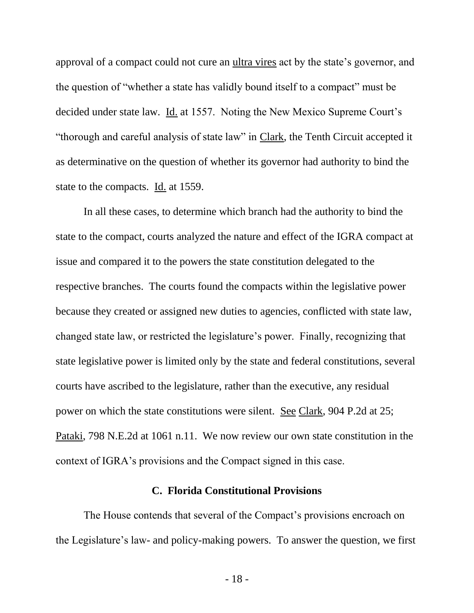approval of a compact could not cure an ultra vires act by the state's governor, and as determinative on the question of whether its governor had authority to bind the state to the compacts. Id. at 1559. the question of "whether a state has validly bound itself to a compact" must be decided under state law. Id. at 1557. Noting the New Mexico Supreme Court's "thorough and careful analysis of state law" in Clark, the Tenth Circuit accepted it

 changed state law, or restricted the legislature's power. Finally, recognizing that state legislative power is limited only by the state and federal constitutions, several power on which the state constitutions were silent. See Clark, 904 P.2d at 25; In all these cases, to determine which branch had the authority to bind the state to the compact, courts analyzed the nature and effect of the IGRA compact at issue and compared it to the powers the state constitution delegated to the respective branches. The courts found the compacts within the legislative power because they created or assigned new duties to agencies, conflicted with state law, courts have ascribed to the legislature, rather than the executive, any residual Pataki, 798 N.E.2d at 1061 n.11. We now review our own state constitution in the context of IGRA's provisions and the Compact signed in this case.

#### **C. Florida Constitutional Provisions**

 The House contends that several of the Compact's provisions encroach on the Legislature's law- and policy-making powers. To answer the question, we first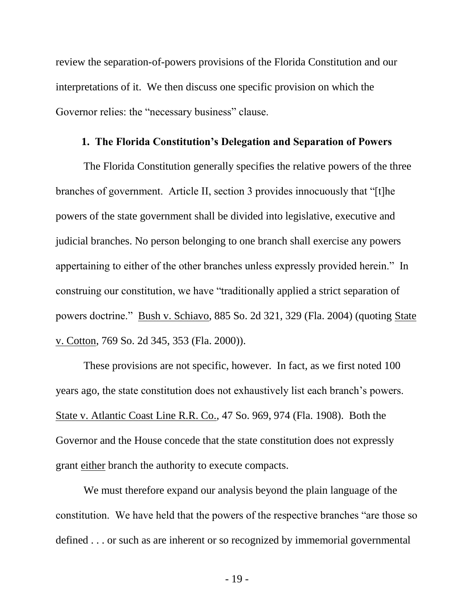interpretations of it. We then discuss one specific provision on which the review the separation-of-powers provisions of the Florida Constitution and our Governor relies: the "necessary business" clause.

#### **1. The Florida Constitution's Delegation and Separation of Powers**

powers doctrine." Bush v. Schiavo, 885 So. 2d 321, 329 (Fla. 2004) (quoting State The Florida Constitution generally specifies the relative powers of the three branches of government. Article II, section 3 provides innocuously that "[t]he powers of the state government shall be divided into legislative, executive and judicial branches. No person belonging to one branch shall exercise any powers appertaining to either of the other branches unless expressly provided herein." In construing our constitution, we have "traditionally applied a strict separation of v. Cotton, 769 So. 2d 345, 353 (Fla. 2000)).

 These provisions are not specific, however. In fact, as we first noted 100 Governor and the House concede that the state constitution does not expressly years ago, the state constitution does not exhaustively list each branch's powers. State v. Atlantic Coast Line R.R. Co., 47 So. 969, 974 (Fla. 1908). Both the grant either branch the authority to execute compacts.

 We must therefore expand our analysis beyond the plain language of the defined . . . or such as are inherent or so recognized by immemorial governmental constitution. We have held that the powers of the respective branches "are those so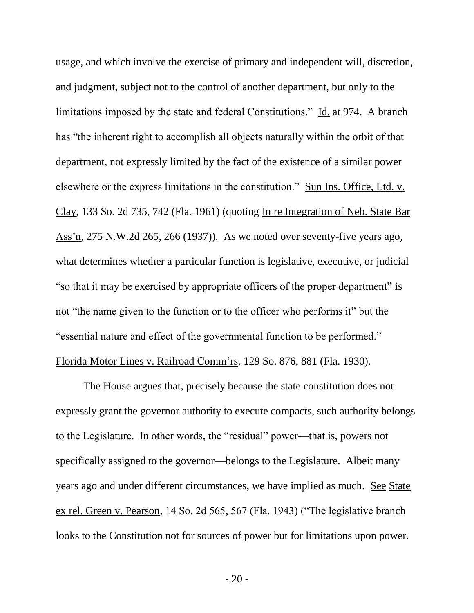and judgment, subject not to the control of another department, but only to the has "the inherent right to accomplish all objects naturally within the orbit of that elsewhere or the express limitations in the constitution." Sun Ins. Office, Ltd. v. "essential nature and effect of the governmental function to be performed." Florida Motor Lines v. Railroad Comm'rs, 129 So. 876, 881 (Fla. 1930). usage, and which involve the exercise of primary and independent will, discretion, limitations imposed by the state and federal Constitutions." Id. at 974. A branch department, not expressly limited by the fact of the existence of a similar power Clay, 133 So. 2d 735, 742 (Fla. 1961) (quoting In re Integration of Neb. State Bar Ass'n, 275 N.W.2d 265, 266 (1937)). As we noted over seventy-five years ago, what determines whether a particular function is legislative, executive, or judicial "so that it may be exercised by appropriate officers of the proper department" is not "the name given to the function or to the officer who performs it" but the

 The House argues that, precisely because the state constitution does not specifically assigned to the governor—belongs to the Legislature. Albeit many looks to the Constitution not for sources of power but for limitations upon power. expressly grant the governor authority to execute compacts, such authority belongs to the Legislature. In other words, the "residual" power—that is, powers not years ago and under different circumstances, we have implied as much. See State ex rel. Green v. Pearson,  $14$  So. 2d  $565$ ,  $567$  (Fla. 1943) ("The legislative branch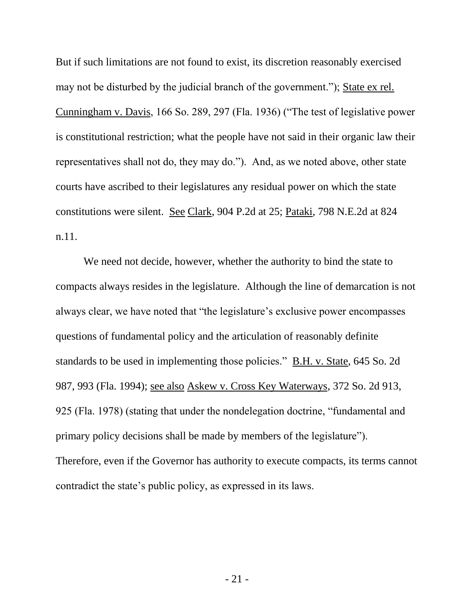is constitutional restriction; what the people have not said in their organic law their representatives shall not do, they may do."). And, as we noted above, other state But if such limitations are not found to exist, its discretion reasonably exercised may not be disturbed by the judicial branch of the government."); State ex rel. Cunningham v. Davis, 166 So. 289, 297 (Fla. 1936) ("The test of legislative power courts have ascribed to their legislatures any residual power on which the state constitutions were silent. See Clark, 904 P.2d at 25; Pataki, 798 N.E.2d at 824 n.11.

 compacts always resides in the legislature. Although the line of demarcation is not standards to be used in implementing those policies." B.H. v. State, 645 So. 2d 925 (Fla. 1978) (stating that under the nondelegation doctrine, "fundamental and primary policy decisions shall be made by members of the legislature"). contradict the state's public policy, as expressed in its laws. We need not decide, however, whether the authority to bind the state to always clear, we have noted that "the legislature's exclusive power encompasses questions of fundamental policy and the articulation of reasonably definite 987, 993 (Fla. 1994); see also Askew v. Cross Key Waterways, 372 So. 2d 913, Therefore, even if the Governor has authority to execute compacts, its terms cannot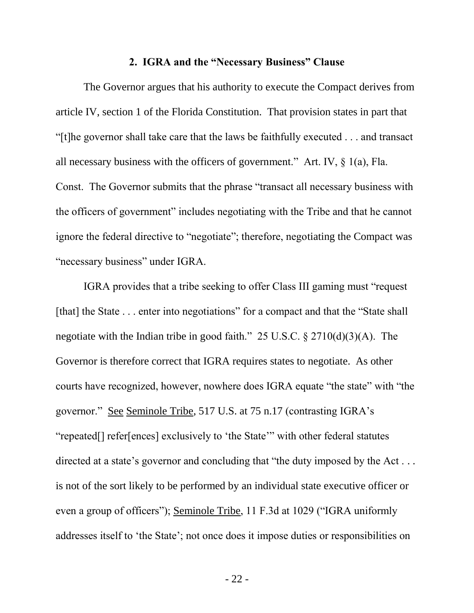#### **2. IGRA and the "Necessary Business" Clause**

 article IV, section 1 of the Florida Constitution. That provision states in part that ―[t]he governor shall take care that the laws be faithfully executed . . . and transact the officers of government" includes negotiating with the Tribe and that he cannot The Governor argues that his authority to execute the Compact derives from all necessary business with the officers of government." Art. IV,  $\S$  1(a), Fla. Const. The Governor submits that the phrase "transact all necessary business with ignore the federal directive to "negotiate"; therefore, negotiating the Compact was "necessary business" under IGRA.

directed at a state's governor and concluding that "the duty imposed by the Act  $\dots$ addresses itself to 'the State'; not once does it impose duties or responsibilities on IGRA provides that a tribe seeking to offer Class III gaming must "request" [that] the State . . . enter into negotiations" for a compact and that the "State shall" negotiate with the Indian tribe in good faith." 25 U.S.C.  $\S 2710(d)(3)(A)$ . The Governor is therefore correct that IGRA requires states to negotiate. As other courts have recognized, however, nowhere does IGRA equate "the state" with "the governor." See Seminole Tribe, 517 U.S. at 75 n.17 (contrasting IGRA's "repeated<sup>[]</sup> refer[ences] exclusively to 'the State'" with other federal statutes is not of the sort likely to be performed by an individual state executive officer or even a group of officers"); Seminole Tribe,  $11$  F.3d at 1029 ("IGRA uniformly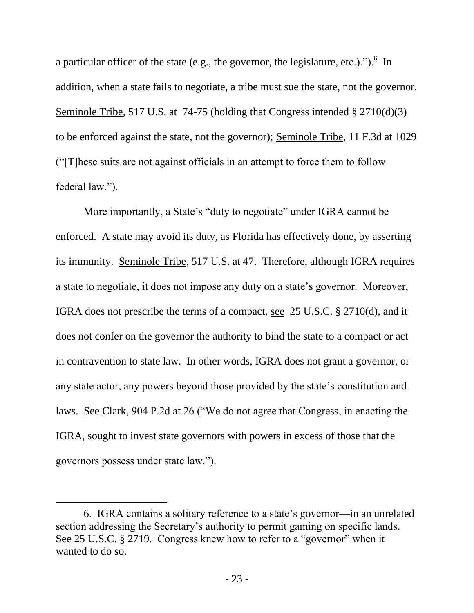a particular officer of the state (e.g., the governor, the legislature, etc.).").<sup>6</sup> In addition, when a state fails to negotiate, a tribe must sue the state, not the governor. Seminole Tribe, 517 U.S. at 74-75 (holding that Congress intended § 2710(d)(3) to be enforced against the state, not the governor); Seminole Tribe, 11 F.3d at 1029  $^{\prime\prime}$ [T] hese suits are not against officials in an attempt to force them to follow federal law.").

More importantly, a State's "duty to negotiate" under IGRA cannot be IGRA does not prescribe the terms of a compact, <u>see</u> 25 U.S.C. § 2710(d), and it in contravention to state law. In other words, IGRA does not grant a governor, or IGRA, sought to invest state governors with powers in excess of those that the governors possess under state law."). enforced. A state may avoid its duty, as Florida has effectively done, by asserting its immunity. Seminole Tribe, 517 U.S. at 47. Therefore, although IGRA requires a state to negotiate, it does not impose any duty on a state's governor. Moreover, does not confer on the governor the authority to bind the state to a compact or act any state actor, any powers beyond those provided by the state's constitution and laws. See Clark, 904 P.2d at 26 ("We do not agree that Congress, in enacting the

 wanted to do so. 6. IGRA contains a solitary reference to a state's governor—in an unrelated section addressing the Secretary's authority to permit gaming on specific lands. See 25 U.S.C.  $\S$  2719. Congress knew how to refer to a "governor" when it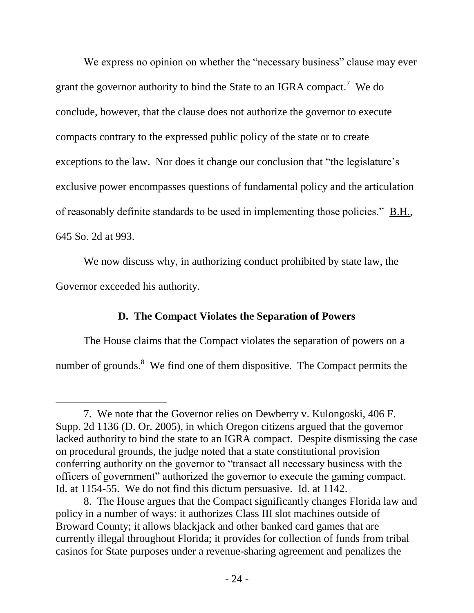We express no opinion on whether the "necessary business" clause may ever grant the governor authority to bind the State to an IGRA compact.<sup>7</sup> We do exceptions to the law. Nor does it change our conclusion that "the legislature's exclusive power encompasses questions of fundamental policy and the articulation of reasonably definite standards to be used in implementing those policies."  $B.H.,$ conclude, however, that the clause does not authorize the governor to execute compacts contrary to the expressed public policy of the state or to create 645 So. 2d at 993.

We now discuss why, in authorizing conduct prohibited by state law, the Governor exceeded his authority.

# **D. The Compact Violates the Separation of Powers**

number of grounds. $8\,$  We find one of them dispositive. The Compact permits the The House claims that the Compact violates the separation of powers on a

l

 Supp. 2d 1136 (D. Or. 2005), in which Oregon citizens argued that the governor lacked authority to bind the state to an IGRA compact. Despite dismissing the case on procedural grounds, the judge noted that a state constitutional provision conferring authority on the governor to "transact all necessary business with the Id. at 1154-55. We do not find this dictum persuasive. Id. at 1142. 7. We note that the Governor relies on Dewberry v. Kulongoski, 406 F. officers of government" authorized the governor to execute the gaming compact.

 8. The House argues that the Compact significantly changes Florida law and policy in a number of ways: it authorizes Class III slot machines outside of Broward County; it allows blackjack and other banked card games that are currently illegal throughout Florida; it provides for collection of funds from tribal casinos for State purposes under a revenue-sharing agreement and penalizes the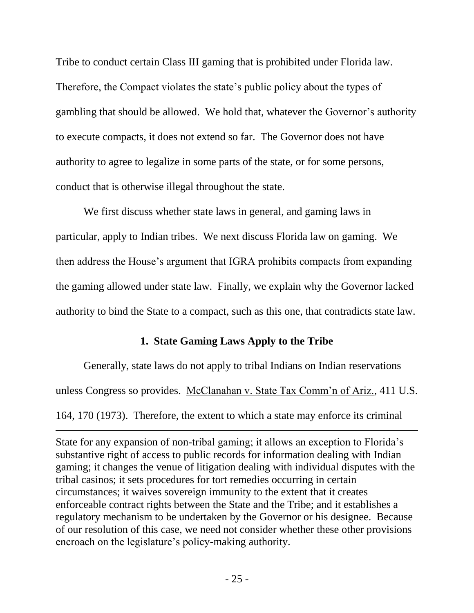Tribe to conduct certain Class III gaming that is prohibited under Florida law. gambling that should be allowed. We hold that, whatever the Governor's authority to execute compacts, it does not extend so far. The Governor does not have conduct that is otherwise illegal throughout the state. Therefore, the Compact violates the state's public policy about the types of authority to agree to legalize in some parts of the state, or for some persons,

 We first discuss whether state laws in general, and gaming laws in the gaming allowed under state law. Finally, we explain why the Governor lacked authority to bind the State to a compact, such as this one, that contradicts state law. particular, apply to Indian tribes. We next discuss Florida law on gaming. We then address the House's argument that IGRA prohibits compacts from expanding

# **1. State Gaming Laws Apply to the Tribe**

 Generally, state laws do not apply to tribal Indians on Indian reservations 164, 170 (1973). Therefore, the extent to which a state may enforce its criminal unless Congress so provides. McClanahan v. State Tax Comm'n of Ariz., 411 U.S.

 State for any expansion of non-tribal gaming; it allows an exception to Florida's tribal casinos; it sets procedures for tort remedies occurring in certain enforceable contract rights between the State and the Tribe; and it establishes a of our resolution of this case, we need not consider whether these other provisions substantive right of access to public records for information dealing with Indian gaming; it changes the venue of litigation dealing with individual disputes with the circumstances; it waives sovereign immunity to the extent that it creates regulatory mechanism to be undertaken by the Governor or his designee. Because encroach on the legislature's policy-making authority.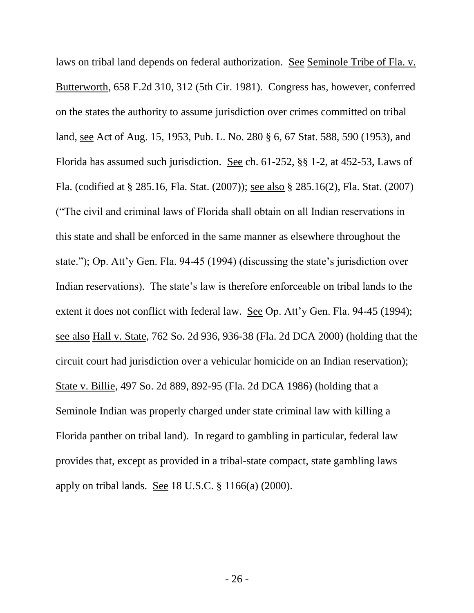laws on tribal land depends on federal authorization. See Seminole Tribe of Fla. v. on the states the authority to assume jurisdiction over crimes committed on tribal land, see Act of Aug. 15, 1953, Pub. L. No. 280 § 6, 67 Stat. 588, 590 (1953), and Florida has assumed such jurisdiction. See ch. 61-252, §§ 1-2, at 452-53, Laws of (―The civil and criminal laws of Florida shall obtain on all Indian reservations in this state and shall be enforced in the same manner as elsewhere throughout the Indian reservations). The state's law is therefore enforceable on tribal lands to the extent it does not conflict with federal law. See Op. Att'y Gen. Fla. 94-45 (1994); see also Hall v. State, 762 So. 2d 936, 936-38 (Fla. 2d DCA 2000) (holding that the Seminole Indian was properly charged under state criminal law with killing a Florida panther on tribal land). In regard to gambling in particular, federal law provides that, except as provided in a tribal-state compact, state gambling laws Butterworth, 658 F.2d 310, 312 (5th Cir. 1981). Congress has, however, conferred Fla. (codified at § 285.16, Fla. Stat. (2007)); see also § 285.16(2), Fla. Stat. (2007) state."); Op. Att'y Gen. Fla. 94-45 (1994) (discussing the state's jurisdiction over circuit court had jurisdiction over a vehicular homicide on an Indian reservation); State v. Billie, 497 So. 2d 889, 892-95 (Fla. 2d DCA 1986) (holding that a apply on tribal lands. See 18 U.S.C. § 1166(a) (2000).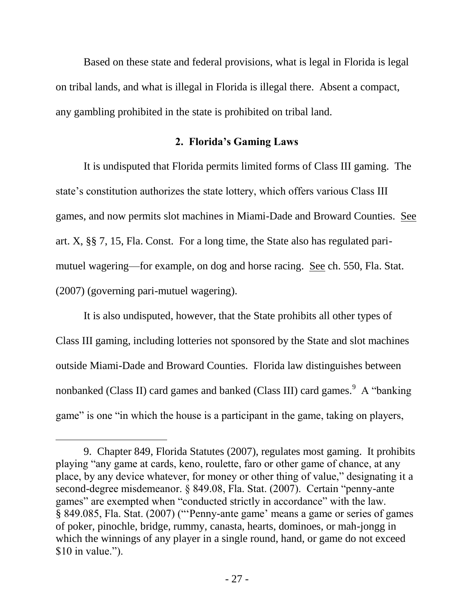Based on these state and federal provisions, what is legal in Florida is legal on tribal lands, and what is illegal in Florida is illegal there. Absent a compact, any gambling prohibited in the state is prohibited on tribal land.

# **2. Florida's Gaming Laws**

 state's constitution authorizes the state lottery, which offers various Class III games, and now permits slot machines in Miami-Dade and Broward Counties. See (2007) (governing pari-mutuel wagering). It is undisputed that Florida permits limited forms of Class III gaming. The art. X, §§ 7, 15, Fla. Const. For a long time, the State also has regulated parimutuel wagering—for example, on dog and horse racing. See ch. 550, Fla. Stat.

 Class III gaming, including lotteries not sponsored by the State and slot machines outside Miami-Dade and Broward Counties. Florida law distinguishes between nonbanked (Class II) card games and banked (Class III) card games.  $9\,$  A "banking It is also undisputed, however, that the State prohibits all other types of game" is one "in which the house is a participant in the game, taking on players,

playing "any game at cards, keno, roulette, faro or other game of chance, at any of poker, pinochle, bridge, rummy, canasta, hearts, dominoes, or mah-jongg in 9. Chapter 849, Florida Statutes (2007), regulates most gaming. It prohibits place, by any device whatever, for money or other thing of value," designating it a second-degree misdemeanor. § 849.08, Fla. Stat. (2007). Certain "penny-ante games" are exempted when "conducted strictly in accordance" with the law. § 849.085, Fla. Stat. (2007) ("Penny-ante game' means a game or series of games which the winnings of any player in a single round, hand, or game do not exceed  $$10$  in value.").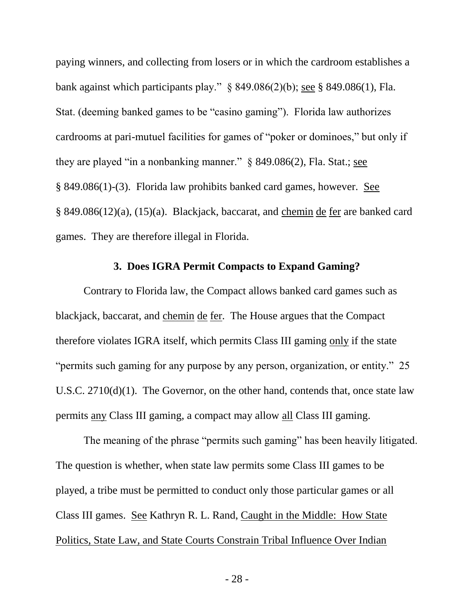they are played "in a nonbanking manner."  $\S$  849.086(2), Fla. Stat.; see paying winners, and collecting from losers or in which the cardroom establishes a bank against which participants play."  $\S$  849.086(2)(b); see  $\S$  849.086(1), Fla. Stat. (deeming banked games to be "casino gaming"). Florida law authorizes cardrooms at pari-mutuel facilities for games of "poker or dominoes," but only if § 849.086(1)-(3). Florida law prohibits banked card games, however. See § 849.086(12)(a), (15)(a). Blackjack, baccarat, and chemin de fer are banked card games. They are therefore illegal in Florida.

#### **3. Does IGRA Permit Compacts to Expand Gaming?**

blackjack, baccarat, and chemin de fer. The House argues that the Compact "permits such gaming for any purpose by any person, organization, or entity." 25 Contrary to Florida law, the Compact allows banked card games such as therefore violates IGRA itself, which permits Class III gaming only if the state U.S.C. 2710(d)(1). The Governor, on the other hand, contends that, once state law permits any Class III gaming, a compact may allow all Class III gaming.

Class III games. See Kathryn R. L. Rand, Caught in the Middle: How State The meaning of the phrase "permits such gaming" has been heavily litigated. The question is whether, when state law permits some Class III games to be played, a tribe must be permitted to conduct only those particular games or all Politics, State Law, and State Courts Constrain Tribal Influence Over Indian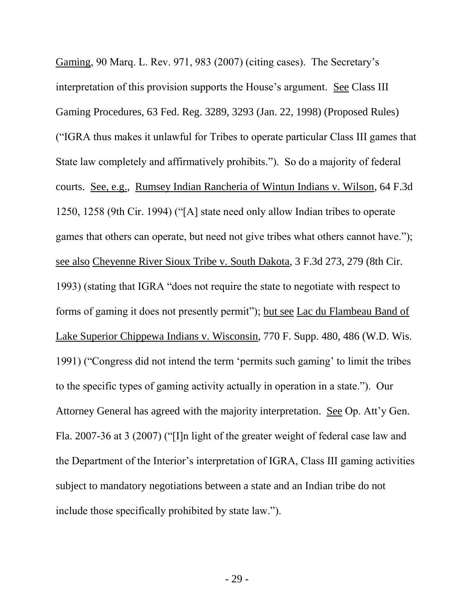interpretation of this provision supports the House's argument. See Class III State law completely and affirmatively prohibits."). So do a majority of federal 1250, 1258 (9th Cir. 1994) ("[A] state need only allow Indian tribes to operate 1993) (stating that IGRA "does not require the state to negotiate with respect to forms of gaming it does not presently permit"); but see Lac du Flambeau Band of to the specific types of gaming activity actually in operation in a state."). Our Gaming, 90 Marq. L. Rev. 971, 983 (2007) (citing cases). The Secretary's Gaming Procedures, 63 Fed. Reg. 3289, 3293 (Jan. 22, 1998) (Proposed Rules) (―IGRA thus makes it unlawful for Tribes to operate particular Class III games that courts. See, e.g., Rumsey Indian Rancheria of Wintun Indians v. Wilson, 64 F.3d games that others can operate, but need not give tribes what others cannot have."); see also Cheyenne River Sioux Tribe v. South Dakota, 3 F.3d 273, 279 (8th Cir. Lake Superior Chippewa Indians v. Wisconsin, 770 F. Supp. 480, 486 (W.D. Wis. 1991) ("Congress did not intend the term 'permits such gaming' to limit the tribes Attorney General has agreed with the majority interpretation. See Op. Att'y Gen. Fla. 2007-36 at 3 (2007) ("[I]n light of the greater weight of federal case law and the Department of the Interior's interpretation of IGRA, Class III gaming activities subject to mandatory negotiations between a state and an Indian tribe do not include those specifically prohibited by state law.").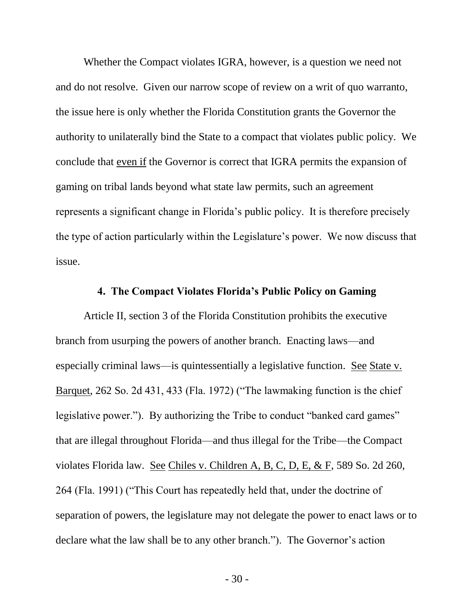the issue here is only whether the Florida Constitution grants the Governor the conclude that even if the Governor is correct that IGRA permits the expansion of gaming on tribal lands beyond what state law permits, such an agreement the type of action particularly within the Legislature's power. We now discuss that Whether the Compact violates IGRA, however, is a question we need not and do not resolve. Given our narrow scope of review on a writ of quo warranto, authority to unilaterally bind the State to a compact that violates public policy. We represents a significant change in Florida's public policy. It is therefore precisely issue.

## **4. The Compact Violates Florida's Public Policy on Gaming**

 Article II, section 3 of the Florida Constitution prohibits the executive branch from usurping the powers of another branch. Enacting laws—and that are illegal throughout Florida—and thus illegal for the Tribe—the Compact violates Florida law. See Chiles v. Children A, B, C, D, E, & F, 589 So. 2d 260, declare what the law shall be to any other branch."). The Governor's action especially criminal laws—is quintessentially a legislative function. See State v. Barquet,  $262$  So.  $2d$  431, 433 (Fla. 1972) ("The lawmaking function is the chief legislative power."). By authorizing the Tribe to conduct "banked card games" 264 (Fla. 1991) ("This Court has repeatedly held that, under the doctrine of separation of powers, the legislature may not delegate the power to enact laws or to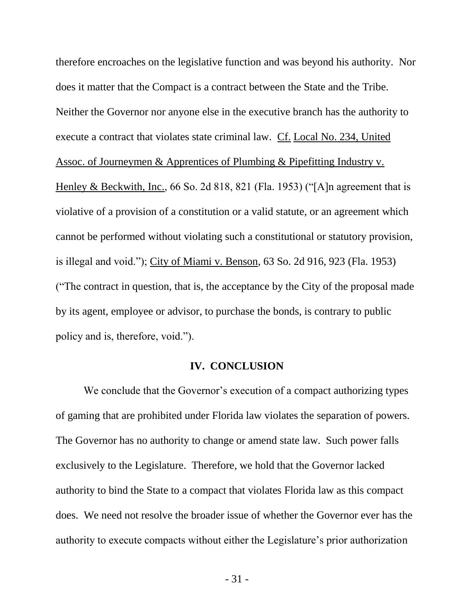does it matter that the Compact is a contract between the State and the Tribe. execute a contract that violates state criminal law. Cf. Local No. 234, United cannot be performed without violating such a constitutional or statutory provision, therefore encroaches on the legislative function and was beyond his authority. Nor Neither the Governor nor anyone else in the executive branch has the authority to Assoc. of Journeymen & Apprentices of Plumbing & Pipefitting Industry v. Henley & Beckwith, Inc., 66 So. 2d 818, 821 (Fla. 1953) ("[A]n agreement that is violative of a provision of a constitution or a valid statute, or an agreement which is illegal and void.‖); City of Miami v. Benson, 63 So. 2d 916, 923 (Fla. 1953) (―The contract in question, that is, the acceptance by the City of the proposal made by its agent, employee or advisor, to purchase the bonds, is contrary to public policy and is, therefore, void.").

#### **IV. CONCLUSION**

 We conclude that the Governor's execution of a compact authorizing types of gaming that are prohibited under Florida law violates the separation of powers. exclusively to the Legislature. Therefore, we hold that the Governor lacked The Governor has no authority to change or amend state law. Such power falls authority to bind the State to a compact that violates Florida law as this compact does. We need not resolve the broader issue of whether the Governor ever has the authority to execute compacts without either the Legislature's prior authorization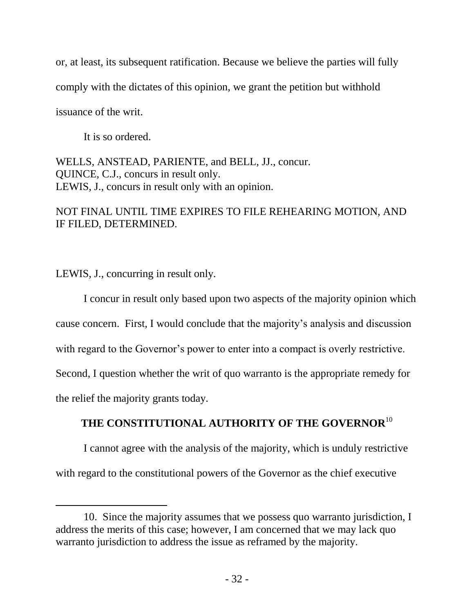comply with the dictates of this opinion, we grant the petition but withhold or, at least, its subsequent ratification. Because we believe the parties will fully issuance of the writ.

It is so ordered.

 QUINCE, C.J., concurs in result only. LEWIS, J., concurs in result only with an opinion. WELLS, ANSTEAD, PARIENTE, and BELL, JJ., concur.

# NOT FINAL UNTIL TIME EXPIRES TO FILE REHEARING MOTION, AND IF FILED, DETERMINED.

LEWIS, J., concurring in result only.

 $\overline{a}$ 

 I concur in result only based upon two aspects of the majority opinion which with regard to the Governor's power to enter into a compact is overly restrictive. Second, I question whether the writ of quo warranto is the appropriate remedy for cause concern. First, I would conclude that the majority's analysis and discussion the relief the majority grants today.

# THE CONSTITUTIONAL AUTHORITY OF THE GOVERNOR<sup>10</sup>

I cannot agree with the analysis of the majority, which is unduly restrictive with regard to the constitutional powers of the Governor as the chief executive

 warranto jurisdiction to address the issue as reframed by the majority. 10. Since the majority assumes that we possess quo warranto jurisdiction, I address the merits of this case; however, I am concerned that we may lack quo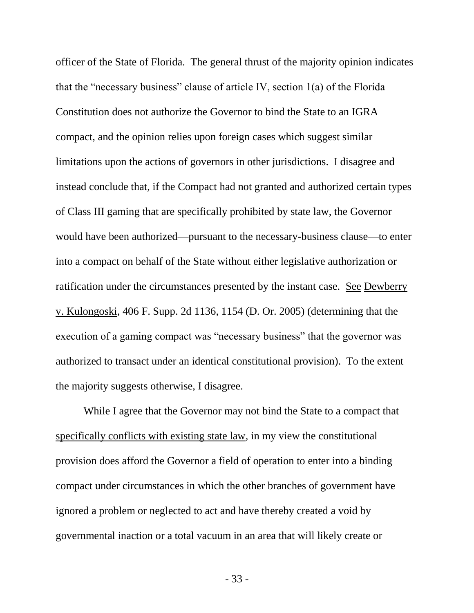officer of the State of Florida. The general thrust of the majority opinion indicates limitations upon the actions of governors in other jurisdictions. I disagree and instead conclude that, if the Compact had not granted and authorized certain types of Class III gaming that are specifically prohibited by state law, the Governor would have been authorized—pursuant to the necessary-business clause—to enter into a compact on behalf of the State without either legislative authorization or ratification under the circumstances presented by the instant case. See Dewberry v. Kulongoski, 406 F. Supp. 2d 1136, 1154 (D. Or. 2005) (determining that the that the "necessary business" clause of article IV, section  $1(a)$  of the Florida Constitution does not authorize the Governor to bind the State to an IGRA compact, and the opinion relies upon foreign cases which suggest similar execution of a gaming compact was "necessary business" that the governor was authorized to transact under an identical constitutional provision). To the extent the majority suggests otherwise, I disagree.

 compact under circumstances in which the other branches of government have While I agree that the Governor may not bind the State to a compact that specifically conflicts with existing state law, in my view the constitutional provision does afford the Governor a field of operation to enter into a binding ignored a problem or neglected to act and have thereby created a void by governmental inaction or a total vacuum in an area that will likely create or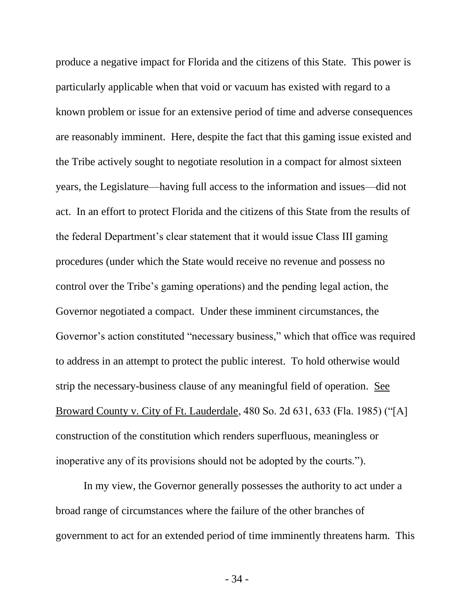particularly applicable when that void or vacuum has existed with regard to a are reasonably imminent. Here, despite the fact that this gaming issue existed and years, the Legislature—having full access to the information and issues—did not procedures (under which the State would receive no revenue and possess no to address in an attempt to protect the public interest. To hold otherwise would produce a negative impact for Florida and the citizens of this State. This power is known problem or issue for an extensive period of time and adverse consequences the Tribe actively sought to negotiate resolution in a compact for almost sixteen act. In an effort to protect Florida and the citizens of this State from the results of the federal Department's clear statement that it would issue Class III gaming control over the Tribe's gaming operations) and the pending legal action, the Governor negotiated a compact. Under these imminent circumstances, the Governor's action constituted "necessary business," which that office was required strip the necessary-business clause of any meaningful field of operation. See Broward County v. City of Ft. Lauderdale, 480 So. 2d 631, 633 (Fla. 1985) ("[A] construction of the constitution which renders superfluous, meaningless or inoperative any of its provisions should not be adopted by the courts.").

 government to act for an extended period of time imminently threatens harm. This In my view, the Governor generally possesses the authority to act under a broad range of circumstances where the failure of the other branches of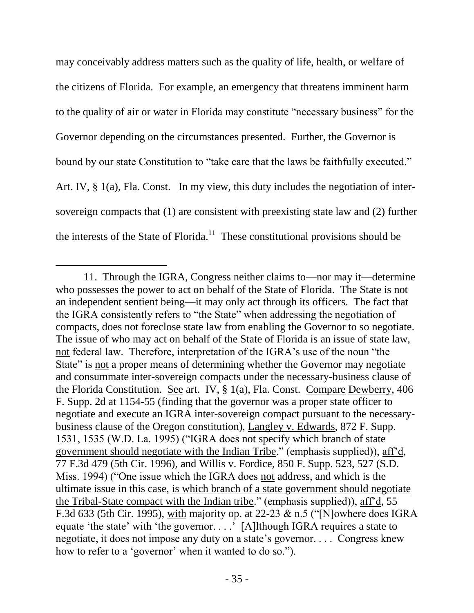the citizens of Florida. For example, an emergency that threatens imminent harm Governor depending on the circumstances presented. Further, the Governor is Art. IV, § 1(a), Fla. Const. In my view, this duty includes the negotiation of interthe interests of the State of Florida.<sup>11</sup> These constitutional provisions should be may conceivably address matters such as the quality of life, health, or welfare of to the quality of air or water in Florida may constitute "necessary business" for the bound by our state Constitution to "take care that the laws be faithfully executed." sovereign compacts that (1) are consistent with preexisting state law and (2) further

 who possesses the power to act on behalf of the State of Florida. The State is not an independent sentient being—it may only act through its officers. The fact that  the Florida Constitution. See art. IV, § 1(a), Fla. Const. Compare Dewberry, 406 negotiate and execute an IGRA inter-sovereign compact pursuant to the necessary-1531, 1535 (W.D. La. 1995) ("IGRA does not specify which branch of state Miss. 1994) ("One issue which the IGRA does not address, and which is the ultimate issue in this case, is which branch of a state government should negotiate the Tribal-State compact with the Indian tribe." (emphasis supplied)), aff'd, 55 equate 'the state' with 'the governor.  $\ldots$ ' [A]lthough IGRA requires a state to negotiate, it does not impose any duty on a state's governor. . . . Congress knew how to refer to a 'governor' when it wanted to do so.").<br> $-35 -$ 11. Through the IGRA, Congress neither claims to—nor may it—determine the IGRA consistently refers to "the State" when addressing the negotiation of compacts, does not foreclose state law from enabling the Governor to so negotiate. The issue of who may act on behalf of the State of Florida is an issue of state law, not federal law. Therefore, interpretation of the IGRA's use of the noun "the State" is not a proper means of determining whether the Governor may negotiate and consummate inter-sovereign compacts under the necessary-business clause of F. Supp. 2d at 1154-55 (finding that the governor was a proper state officer to business clause of the Oregon constitution), Langley v. Edwards, 872 F. Supp. government should negotiate with the Indian Tribe." (emphasis supplied)), aff'd, 77 F.3d 479 (5th Cir. 1996), and Willis v. Fordice, 850 F. Supp. 523, 527 (S.D. F.3d 633 (5th Cir. 1995), with majority op. at 22-23  $\&$  n.5 ("[N]owhere does IGRA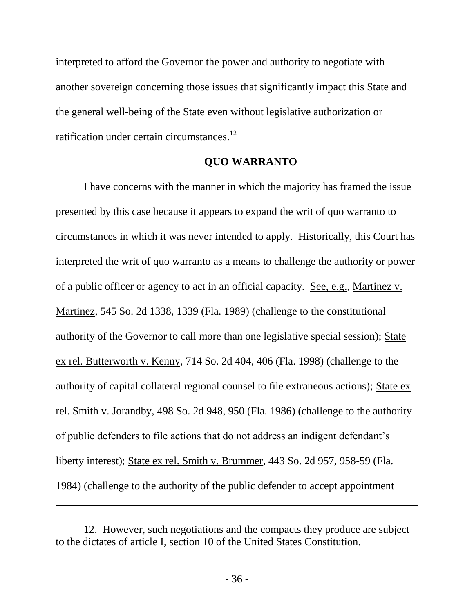interpreted to afford the Governor the power and authority to negotiate with another sovereign concerning those issues that significantly impact this State and the general well-being of the State even without legislative authorization or ratification under certain circumstances.<sup>12</sup>

#### **QUO WARRANTO**

 circumstances in which it was never intended to apply. Historically, this Court has authority of capital collateral regional counsel to file extraneous actions); State ex I have concerns with the manner in which the majority has framed the issue presented by this case because it appears to expand the writ of quo warranto to interpreted the writ of quo warranto as a means to challenge the authority or power of a public officer or agency to act in an official capacity. See, e.g., Martinez v. Martinez, 545 So. 2d 1338, 1339 (Fla. 1989) (challenge to the constitutional authority of the Governor to call more than one legislative special session); State ex rel. Butterworth v. Kenny, 714 So. 2d 404, 406 (Fla. 1998) (challenge to the rel. Smith v. Jorandby, 498 So. 2d 948, 950 (Fla. 1986) (challenge to the authority of public defenders to file actions that do not address an indigent defendant's liberty interest); State ex rel. Smith v. Brummer, 443 So. 2d 957, 958-59 (Fla. 1984) (challenge to the authority of the public defender to accept appointment

 to the dictates of article I, section 10 of the United States Constitution. 12. However, such negotiations and the compacts they produce are subject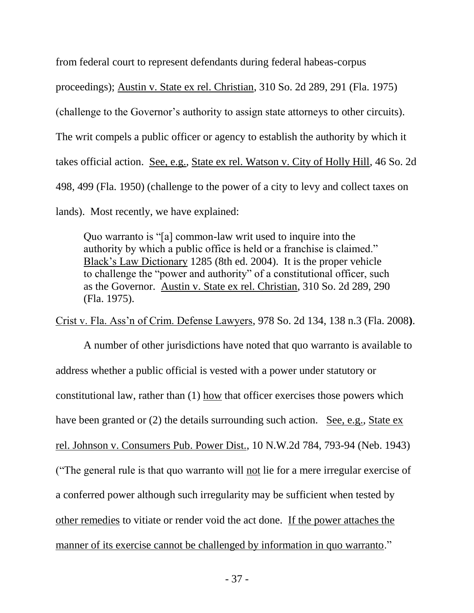from federal court to represent defendants during federal habeas-corpus The writ compels a public officer or agency to establish the authority by which it lands). Most recently, we have explained: proceedings); Austin v. State ex rel. Christian, 310 So. 2d 289, 291 (Fla. 1975) (challenge to the Governor's authority to assign state attorneys to other circuits). takes official action. See, e.g., State ex rel. Watson v. City of Holly Hill, 46 So. 2d 498, 499 (Fla. 1950) (challenge to the power of a city to levy and collect taxes on

lands). Most recently, we have explained:<br>Quo warranto is "[a] common-law writ used to inquire into the authority by which a public office is held or a franchise is claimed." Black's Law Dictionary 1285 (8th ed. 2004). It is the proper vehicle to challenge the "power and authority" of a constitutional officer, such as the Governor. Austin v. State ex rel. Christian, 310 So. 2d 289, 290 (Fla. 1975).

Crist v. Fla. Ass'n of Crim. Defense Lawyers, 978 So. 2d 134, 138 n.3 (Fla. 2008**)**.

 address whether a public official is vested with a power under statutory or have been granted or (2) the details surrounding such action. See, e.g., State ex ("The general rule is that quo warranto will not lie for a mere irregular exercise of a conferred power although such irregularity may be sufficient when tested by other remedies to vitiate or render void the act done. If the power attaches the A number of other jurisdictions have noted that quo warranto is available to constitutional law, rather than (1) how that officer exercises those powers which rel. Johnson v. Consumers Pub. Power Dist., 10 N.W.2d 784, 793-94 (Neb. 1943) manner of its exercise cannot be challenged by information in quo warranto."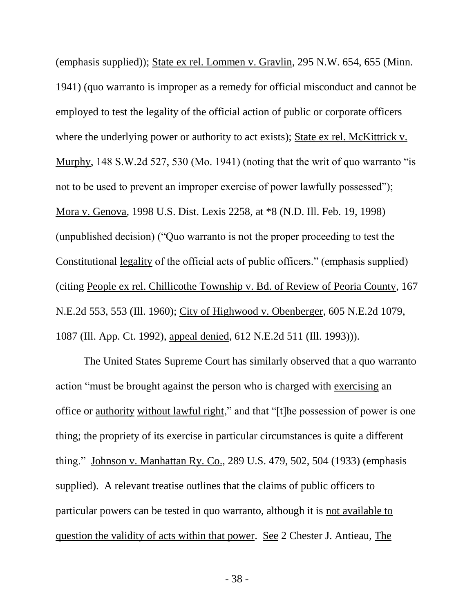1941) (quo warranto is improper as a remedy for official misconduct and cannot be where the underlying power or authority to act exists); State ex rel. McKittrick v. not to be used to prevent an improper exercise of power lawfully possessed"); (unpublished decision) ("Quo warranto is not the proper proceeding to test the (emphasis supplied)); State ex rel. Lommen v. Gravlin, 295 N.W. 654, 655 (Minn. employed to test the legality of the official action of public or corporate officers Murphy,  $148$  S.W.2d  $527$ ,  $530$  (Mo. 1941) (noting that the writ of quo warranto "is Mora v. Genova, 1998 U.S. Dist. Lexis 2258, at \*8 (N.D. Ill. Feb. 19, 1998) Constitutional legality of the official acts of public officers." (emphasis supplied) (citing People ex rel. Chillicothe Township v. Bd. of Review of Peoria County, 167 N.E.2d 553, 553 (Ill. 1960); City of Highwood v. Obenberger, 605 N.E.2d 1079, 1087 (Ill. App. Ct. 1992), appeal denied, 612 N.E.2d 511 (Ill. 1993))).

action "must be brought against the person who is charged with exercising an office or <u>authority without lawful right</u>," and that "[t]he possession of power is one supplied). A relevant treatise outlines that the claims of public officers to particular powers can be tested in quo warranto, although it is not available to The United States Supreme Court has similarly observed that a quo warranto thing; the propriety of its exercise in particular circumstances is quite a different thing.‖ Johnson v. Manhattan Ry. Co., 289 U.S. 479, 502, 504 (1933) (emphasis question the validity of acts within that power. See 2 Chester J. Antieau, The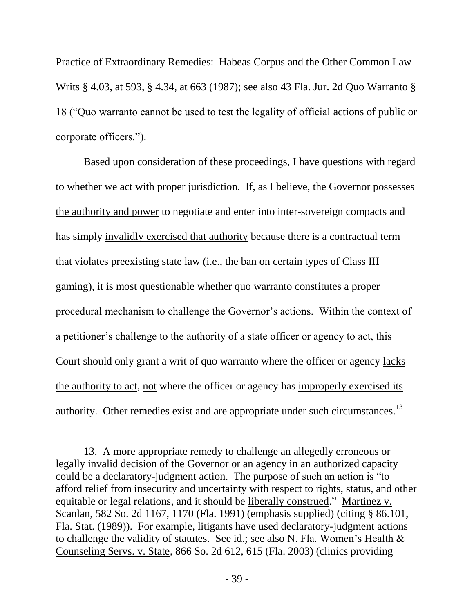Practice of Extraordinary Remedies: Habeas Corpus and the Other Common Law Writs § 4.03, at 593, § 4.34, at 663 (1987); see also 43 Fla. Jur. 2d Quo Warranto § 18 ("Quo warranto cannot be used to test the legality of official actions of public or corporate officers.").

the authority and power to negotiate and enter into inter-sovereign compacts and has simply invalidly exercised that authority because there is a contractual term that violates preexisting state law (i.e., the ban on certain types of Class III Court should only grant a writ of quo warranto where the officer or agency lacks authority. Other remedies exist and are appropriate under such circumstances.<sup>13</sup> Based upon consideration of these proceedings, I have questions with regard to whether we act with proper jurisdiction. If, as I believe, the Governor possesses gaming), it is most questionable whether quo warranto constitutes a proper procedural mechanism to challenge the Governor's actions. Within the context of a petitioner's challenge to the authority of a state officer or agency to act, this the authority to act, not where the officer or agency has improperly exercised its

 $\overline{a}$ 

legally invalid decision of the Governor or an agency in an authorized capacity equitable or legal relations, and it should be liberally construed." Martinez v. Scanlan, 582 So. 2d 1167, 1170 (Fla. 1991) (emphasis supplied) (citing § 86.101, Fla. Stat. (1989)). For example, litigants have used declaratory-judgment actions Counseling Servs. v. State, 866 So. 2d 612, 615 (Fla. 2003) (clinics providing 13. A more appropriate remedy to challenge an allegedly erroneous or could be a declaratory-judgment action. The purpose of such an action is "to afford relief from insecurity and uncertainty with respect to rights, status, and other to challenge the validity of statutes. See id.; see also N. Fla. Women's Health &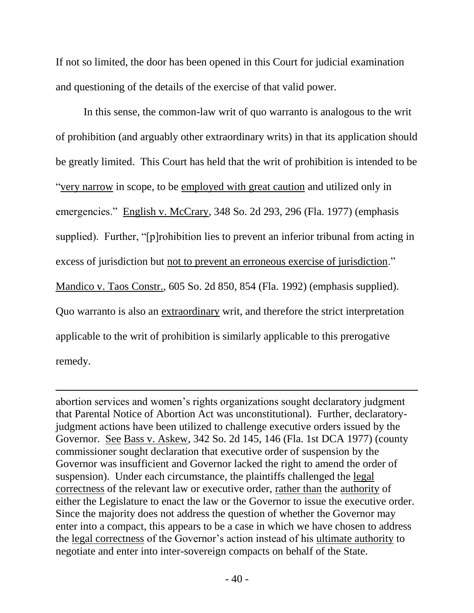If not so limited, the door has been opened in this Court for judicial examination and questioning of the details of the exercise of that valid power.

 of prohibition (and arguably other extraordinary writs) in that its application should be greatly limited. This Court has held that the writ of prohibition is intended to be "very narrow in scope, to be employed with great caution and utilized only in supplied). Further, "[p]rohibition lies to prevent an inferior tribunal from acting in excess of jurisdiction but not to prevent an erroneous exercise of jurisdiction." Quo warranto is also an extraordinary writ, and therefore the strict interpretation applicable to the writ of prohibition is similarly applicable to this prerogative In this sense, the common-law writ of quo warranto is analogous to the writ emergencies." English v. McCrary, 348 So. 2d 293, 296 (Fla. 1977) (emphasis Mandico v. Taos Constr., 605 So. 2d 850, 854 (Fla. 1992) (emphasis supplied). remedy.

Governor. See Bass v. Askew, 342 So. 2d 145, 146 (Fla. 1st DCA 1977) (county suspension). Under each circumstance, the plaintiffs challenged the legal Since the majority does not address the question of whether the Governor may the legal correctness of the Governor's action instead of his ultimate authority to abortion services and women's rights organizations sought declaratory judgment that Parental Notice of Abortion Act was unconstitutional). Further, declaratoryjudgment actions have been utilized to challenge executive orders issued by the commissioner sought declaration that executive order of suspension by the Governor was insufficient and Governor lacked the right to amend the order of correctness of the relevant law or executive order, rather than the authority of either the Legislature to enact the law or the Governor to issue the executive order. enter into a compact, this appears to be a case in which we have chosen to address negotiate and enter into inter-sovereign compacts on behalf of the State.

 $\overline{a}$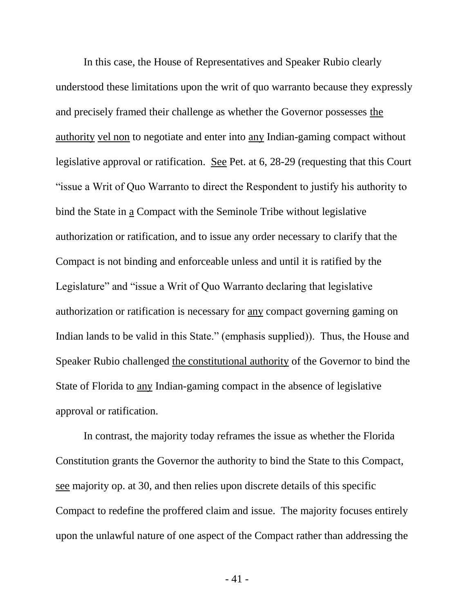authority vel non to negotiate and enter into any Indian-gaming compact without legislative approval or ratification. See Pet. at 6, 28-29 (requesting that this Court authorization or ratification, and to issue any order necessary to clarify that the authorization or ratification is necessary for any compact governing gaming on Indian lands to be valid in this State." (emphasis supplied)). Thus, the House and In this case, the House of Representatives and Speaker Rubio clearly understood these limitations upon the writ of quo warranto because they expressly and precisely framed their challenge as whether the Governor possesses the ―issue a Writ of Quo Warranto to direct the Respondent to justify his authority to bind the State in a Compact with the Seminole Tribe without legislative Compact is not binding and enforceable unless and until it is ratified by the Legislature" and "issue a Writ of Quo Warranto declaring that legislative Speaker Rubio challenged the constitutional authority of the Governor to bind the State of Florida to any Indian-gaming compact in the absence of legislative approval or ratification.

 Constitution grants the Governor the authority to bind the State to this Compact, see majority op. at 30, and then relies upon discrete details of this specific In contrast, the majority today reframes the issue as whether the Florida Compact to redefine the proffered claim and issue. The majority focuses entirely upon the unlawful nature of one aspect of the Compact rather than addressing the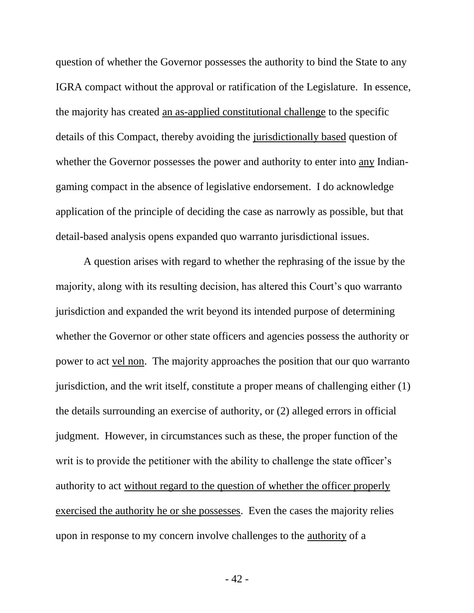IGRA compact without the approval or ratification of the Legislature. In essence, whether the Governor possesses the power and authority to enter into any Indian- application of the principle of deciding the case as narrowly as possible, but that question of whether the Governor possesses the authority to bind the State to any the majority has created an as-applied constitutional challenge to the specific details of this Compact, thereby avoiding the jurisdictionally based question of gaming compact in the absence of legislative endorsement. I do acknowledge detail-based analysis opens expanded quo warranto jurisdictional issues.

 jurisdiction and expanded the writ beyond its intended purpose of determining authority to act without regard to the question of whether the officer properly exercised the authority he or she possesses. Even the cases the majority relies upon in response to my concern involve challenges to the **authority** of a A question arises with regard to whether the rephrasing of the issue by the majority, along with its resulting decision, has altered this Court's quo warranto whether the Governor or other state officers and agencies possess the authority or power to act vel non. The majority approaches the position that our quo warranto jurisdiction, and the writ itself, constitute a proper means of challenging either (1) the details surrounding an exercise of authority, or (2) alleged errors in official judgment. However, in circumstances such as these, the proper function of the writ is to provide the petitioner with the ability to challenge the state officer's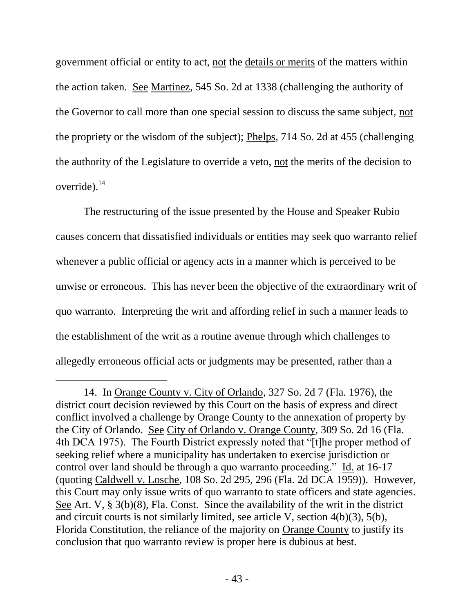government official or entity to act, not the details or merits of the matters within the action taken. See Martinez, 545 So. 2d at 1338 (challenging the authority of the Governor to call more than one special session to discuss the same subject, not the authority of the Legislature to override a veto, not the merits of the decision to override). $^{14}$ the propriety or the wisdom of the subject); Phelps, 714 So. 2d at 455 (challenging

 causes concern that dissatisfied individuals or entities may seek quo warranto relief quo warranto. Interpreting the writ and affording relief in such a manner leads to allegedly erroneous official acts or judgments may be presented, rather than a The restructuring of the issue presented by the House and Speaker Rubio whenever a public official or agency acts in a manner which is perceived to be unwise or erroneous. This has never been the objective of the extraordinary writ of the establishment of the writ as a routine avenue through which challenges to

 $\overline{a}$ 

 district court decision reviewed by this Court on the basis of express and direct control over land should be through a quo warranto proceeding." Id. at 16-17 (quoting Caldwell v. Losche, 108 So. 2d 295, 296 (Fla. 2d DCA 1959)). However, this Court may only issue writs of quo warranto to state officers and state agencies. See Art. V,  $\S 3(b)(8)$ , Fla. Const. Since the availability of the writ in the district and circuit courts is not similarly limited, see article V, section  $4(b)(3)$ ,  $5(b)$ , Florida Constitution, the reliance of the majority on Orange County to justify its conclusion that quo warranto review is proper here is dubious at best. 14. In Orange County v. City of Orlando, 327 So. 2d 7 (Fla. 1976), the conflict involved a challenge by Orange County to the annexation of property by the City of Orlando. See City of Orlando v. Orange County, 309 So. 2d 16 (Fla. 4th DCA 1975). The Fourth District expressly noted that "[t]he proper method of seeking relief where a municipality has undertaken to exercise jurisdiction or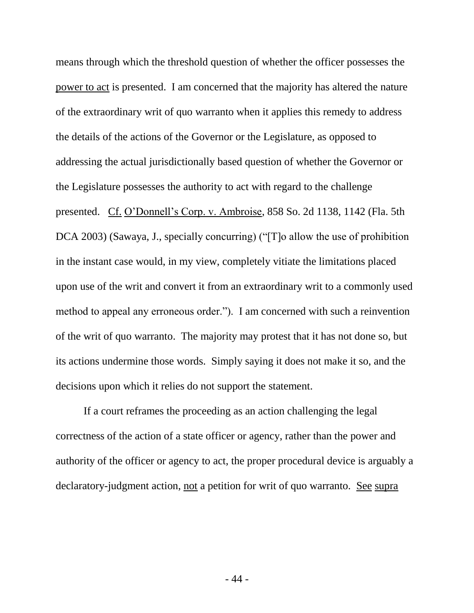power to act is presented. I am concerned that the majority has altered the nature of the extraordinary writ of quo warranto when it applies this remedy to address the details of the actions of the Governor or the Legislature, as opposed to presented. Cf. O'Donnell's Corp. v. Ambroise, 858 So. 2d 1138, 1142 (Fla. 5th in the instant case would, in my view, completely vitiate the limitations placed method to appeal any erroneous order."). I am concerned with such a reinvention of the writ of quo warranto. The majority may protest that it has not done so, but its actions undermine those words. Simply saying it does not make it so, and the decisions upon which it relies do not support the statement. means through which the threshold question of whether the officer possesses the addressing the actual jurisdictionally based question of whether the Governor or the Legislature possesses the authority to act with regard to the challenge DCA 2003) (Sawaya, J., specially concurring) (" $[T]$ o allow the use of prohibition upon use of the writ and convert it from an extraordinary writ to a commonly used

 correctness of the action of a state officer or agency, rather than the power and authority of the officer or agency to act, the proper procedural device is arguably a declaratory-judgment action, not a petition for writ of quo warranto. See supra If a court reframes the proceeding as an action challenging the legal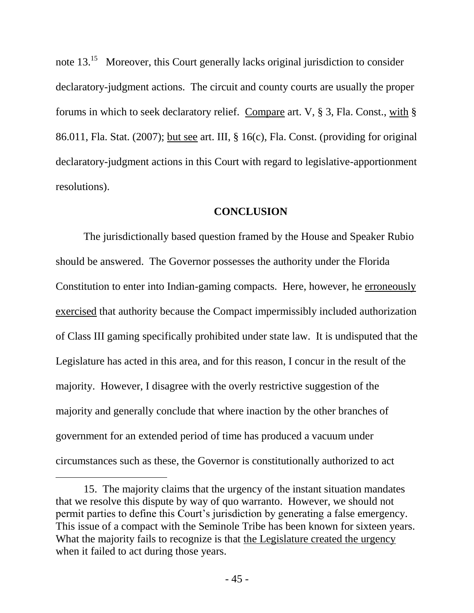note  $13.^{15}$  Moreover, this Court generally lacks original jurisdiction to consider forums in which to seek declaratory relief. Compare art. V, § 3, Fla. Const., with § 86.011, Fla. Stat. (2007); but see art. III, § 16(c), Fla. Const. (providing for original declaratory-judgment actions in this Court with regard to legislative-apportionment declaratory-judgment actions. The circuit and county courts are usually the proper resolutions).

# **CONCLUSION**

 Legislature has acted in this area, and for this reason, I concur in the result of the circumstances such as these, the Governor is constitutionally authorized to act The jurisdictionally based question framed by the House and Speaker Rubio should be answered. The Governor possesses the authority under the Florida Constitution to enter into Indian-gaming compacts. Here, however, he erroneously exercised that authority because the Compact impermissibly included authorization of Class III gaming specifically prohibited under state law. It is undisputed that the majority. However, I disagree with the overly restrictive suggestion of the majority and generally conclude that where inaction by the other branches of government for an extended period of time has produced a vacuum under

l

 15. The majority claims that the urgency of the instant situation mandates permit parties to define this Court's jurisdiction by generating a false emergency. that we resolve this dispute by way of quo warranto. However, we should not This issue of a compact with the Seminole Tribe has been known for sixteen years. What the majority fails to recognize is that the Legislature created the urgency when it failed to act during those years.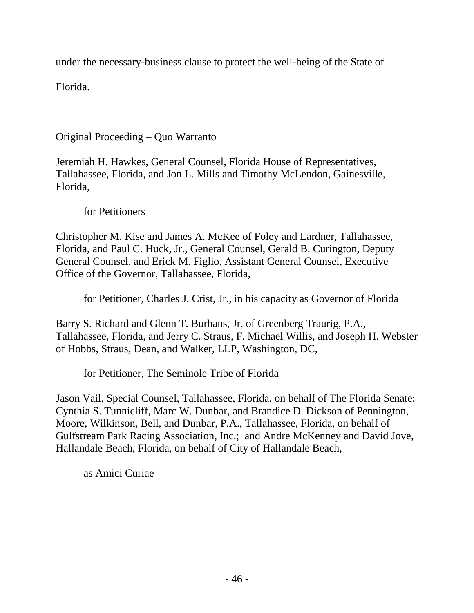under the necessary-business clause to protect the well-being of the State of

Florida.

Original Proceeding – Quo Warranto

Jeremiah H. Hawkes, General Counsel, Florida House of Representatives, Tallahassee, Florida, and Jon L. Mills and Timothy McLendon, Gainesville, Florida,

for Petitioners

Christopher M. Kise and James A. McKee of Foley and Lardner, Tallahassee, Florida, and Paul C. Huck, Jr., General Counsel, Gerald B. Curington, Deputy General Counsel, and Erick M. Figlio, Assistant General Counsel, Executive Office of the Governor, Tallahassee, Florida,

for Petitioner, Charles J. Crist, Jr., in his capacity as Governor of Florida

Barry S. Richard and Glenn T. Burhans, Jr. of Greenberg Traurig, P.A., Tallahassee, Florida, and Jerry C. Straus, F. Michael Willis, and Joseph H. Webster of Hobbs, Straus, Dean, and Walker, LLP, Washington, DC,

for Petitioner, The Seminole Tribe of Florida

Jason Vail, Special Counsel, Tallahassee, Florida, on behalf of The Florida Senate; Cynthia S. Tunnicliff, Marc W. Dunbar, and Brandice D. Dickson of Pennington, Moore, Wilkinson, Bell, and Dunbar, P.A., Tallahassee, Florida, on behalf of Gulfstream Park Racing Association, Inc.; and Andre McKenney and David Jove, Hallandale Beach, Florida, on behalf of City of Hallandale Beach,

as Amici Curiae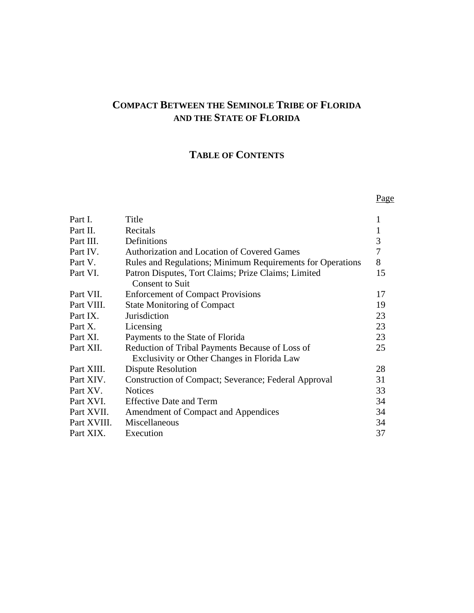# **COMPACT BETWEEN THE SEMINOLE TRIBE OF FLORIDA AND THE STATE OF FLORIDA**

# **TABLE OF CONTENTS**

|             |                                                                                                | Page |
|-------------|------------------------------------------------------------------------------------------------|------|
| Part I.     | Title                                                                                          | 1    |
| Part II.    | Recitals                                                                                       | 1    |
| Part III.   | Definitions                                                                                    | 3    |
| Part IV.    | Authorization and Location of Covered Games                                                    | 7    |
| Part V.     | Rules and Regulations; Minimum Requirements for Operations                                     | 8    |
| Part VI.    | Patron Disputes, Tort Claims; Prize Claims; Limited<br><b>Consent to Suit</b>                  | 15   |
| Part VII.   | <b>Enforcement of Compact Provisions</b>                                                       | 17   |
| Part VIII.  | <b>State Monitoring of Compact</b>                                                             | 19   |
| Part IX.    | <b>Jurisdiction</b>                                                                            | 23   |
| Part X.     | Licensing                                                                                      | 23   |
| Part XI.    | Payments to the State of Florida                                                               | 23   |
| Part XII.   | Reduction of Tribal Payments Because of Loss of<br>Exclusivity or Other Changes in Florida Law | 25   |
| Part XIII.  | Dispute Resolution                                                                             | 28   |
| Part XIV.   | <b>Construction of Compact; Severance; Federal Approval</b>                                    | 31   |
| Part XV.    | <b>Notices</b>                                                                                 | 33   |
| Part XVI.   | <b>Effective Date and Term</b>                                                                 | 34   |
| Part XVII.  | Amendment of Compact and Appendices                                                            | 34   |
| Part XVIII. | Miscellaneous                                                                                  | 34   |
| Part XIX.   | Execution                                                                                      | 37   |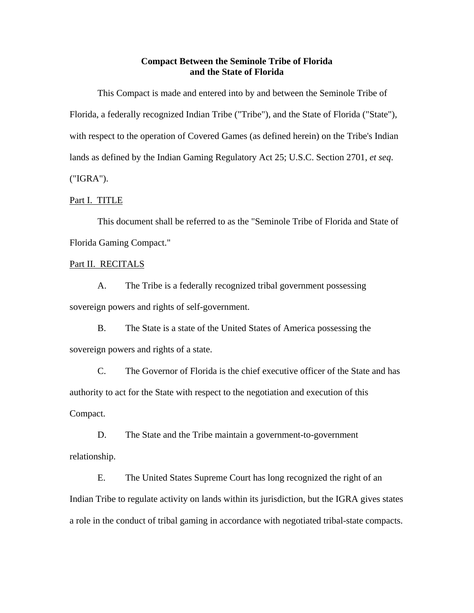## **Compact Between the Seminole Tribe of Florida and the State of Florida**

This Compact is made and entered into by and between the Seminole Tribe of Florida, a federally recognized Indian Tribe ("Tribe"), and the State of Florida ("State"), with respect to the operation of Covered Games (as defined herein) on the Tribe's Indian lands as defined by the Indian Gaming Regulatory Act 25; U.S.C. Section 2701, *et seq*. ("IGRA").

## Part I. TITLE

This document shall be referred to as the "Seminole Tribe of Florida and State of Florida Gaming Compact."

## Part II. RECITALS

A. The Tribe is a federally recognized tribal government possessing sovereign powers and rights of self-government.

B. The State is a state of the United States of America possessing the sovereign powers and rights of a state.

C. The Governor of Florida is the chief executive officer of the State and has authority to act for the State with respect to the negotiation and execution of this Compact.

D. The State and the Tribe maintain a government-to-government relationship.

E. The United States Supreme Court has long recognized the right of an Indian Tribe to regulate activity on lands within its jurisdiction, but the IGRA gives states a role in the conduct of tribal gaming in accordance with negotiated tribal-state compacts.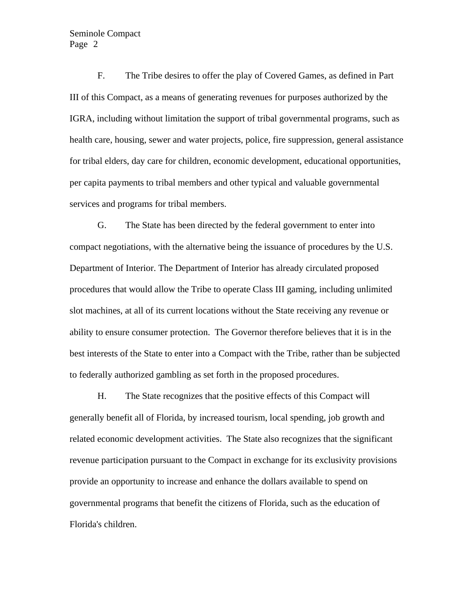# Page 2 Seminole Compact

F. The Tribe desires to offer the play of Covered Games, as defined in Part III of this Compact, as a means of generating revenues for purposes authorized by the IGRA, including without limitation the support of tribal governmental programs, such as health care, housing, sewer and water projects, police, fire suppression, general assistance for tribal elders, day care for children, economic development, educational opportunities, per capita payments to tribal members and other typical and valuable governmental services and programs for tribal members.

G. The State has been directed by the federal government to enter into compact negotiations, with the alternative being the issuance of procedures by the U.S. Department of Interior. The Department of Interior has already circulated proposed procedures that would allow the Tribe to operate Class III gaming, including unlimited slot machines, at all of its current locations without the State receiving any revenue or ability to ensure consumer protection. The Governor therefore believes that it is in the best interests of the State to enter into a Compact with the Tribe, rather than be subjected to federally authorized gambling as set forth in the proposed procedures.

H. The State recognizes that the positive effects of this Compact will generally benefit all of Florida, by increased tourism, local spending, job growth and related economic development activities. The State also recognizes that the significant revenue participation pursuant to the Compact in exchange for its exclusivity provisions provide an opportunity to increase and enhance the dollars available to spend on governmental programs that benefit the citizens of Florida, such as the education of Florida's children.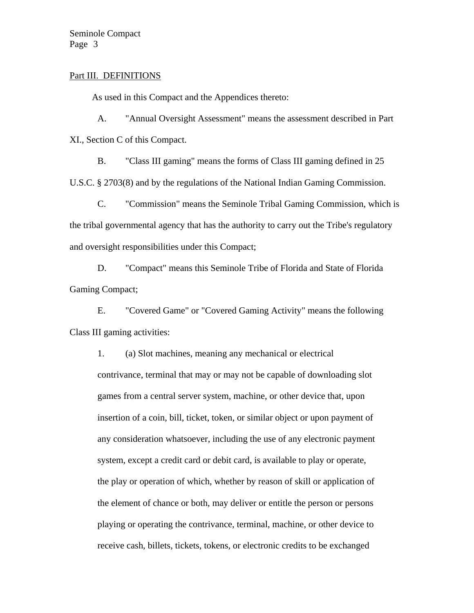#### Part III. DEFINITIONS

As used in this Compact and the Appendices thereto:

A. "Annual Oversight Assessment" means the assessment described in Part XI., Section C of this Compact.

B. "Class III gaming" means the forms of Class III gaming defined in 25 U.S.C. § 2703(8) and by the regulations of the National Indian Gaming Commission.

C. "Commission" means the Seminole Tribal Gaming Commission, which is the tribal governmental agency that has the authority to carry out the Tribe's regulatory and oversight responsibilities under this Compact;

D. "Compact" means this Seminole Tribe of Florida and State of Florida Gaming Compact;

E. "Covered Game" or "Covered Gaming Activity" means the following Class III gaming activities:

1. (a) Slot machines, meaning any mechanical or electrical contrivance, terminal that may or may not be capable of downloading slot games from a central server system, machine, or other device that, upon insertion of a coin, bill, ticket, token, or similar object or upon payment of any consideration whatsoever, including the use of any electronic payment system, except a credit card or debit card, is available to play or operate, the play or operation of which, whether by reason of skill or application of the element of chance or both, may deliver or entitle the person or persons playing or operating the contrivance, terminal, machine, or other device to receive cash, billets, tickets, tokens, or electronic credits to be exchanged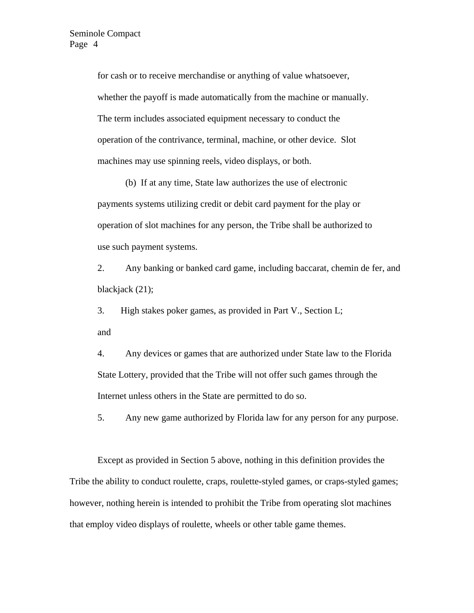for cash or to receive merchandise or anything of value whatsoever, whether the payoff is made automatically from the machine or manually. The term includes associated equipment necessary to conduct the operation of the contrivance, terminal, machine, or other device. Slot machines may use spinning reels, video displays, or both.

(b) If at any time, State law authorizes the use of electronic payments systems utilizing credit or debit card payment for the play or operation of slot machines for any person, the Tribe shall be authorized to use such payment systems.

2. Any banking or banked card game, including baccarat, chemin de fer, and blackjack (21);

3. High stakes poker games, as provided in Part V., Section L; and

4. Any devices or games that are authorized under State law to the Florida State Lottery, provided that the Tribe will not offer such games through the Internet unless others in the State are permitted to do so.

5. Any new game authorized by Florida law for any person for any purpose.

Except as provided in Section 5 above, nothing in this definition provides the Tribe the ability to conduct roulette, craps, roulette-styled games, or craps-styled games; however, nothing herein is intended to prohibit the Tribe from operating slot machines that employ video displays of roulette, wheels or other table game themes.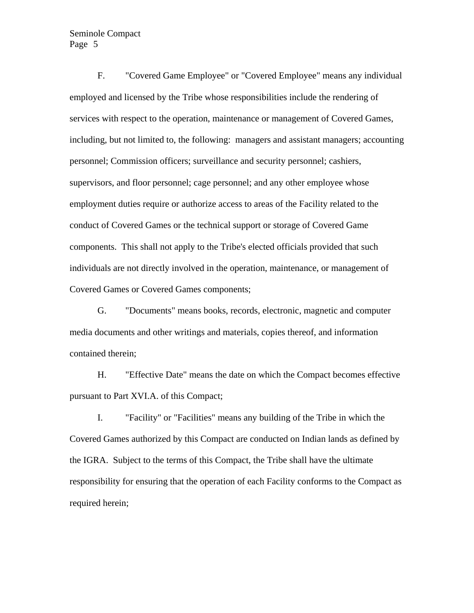# Page 5 Seminole Compact

F. "Covered Game Employee" or "Covered Employee" means any individual employed and licensed by the Tribe whose responsibilities include the rendering of services with respect to the operation, maintenance or management of Covered Games, including, but not limited to, the following: managers and assistant managers; accounting personnel; Commission officers; surveillance and security personnel; cashiers, supervisors, and floor personnel; cage personnel; and any other employee whose employment duties require or authorize access to areas of the Facility related to the conduct of Covered Games or the technical support or storage of Covered Game components. This shall not apply to the Tribe's elected officials provided that such individuals are not directly involved in the operation, maintenance, or management of Covered Games or Covered Games components;

G. "Documents" means books, records, electronic, magnetic and computer media documents and other writings and materials, copies thereof, and information contained therein;

H. "Effective Date" means the date on which the Compact becomes effective pursuant to Part XVI.A. of this Compact;

I. "Facility" or "Facilities" means any building of the Tribe in which the Covered Games authorized by this Compact are conducted on Indian lands as defined by the IGRA. Subject to the terms of this Compact, the Tribe shall have the ultimate responsibility for ensuring that the operation of each Facility conforms to the Compact as required herein;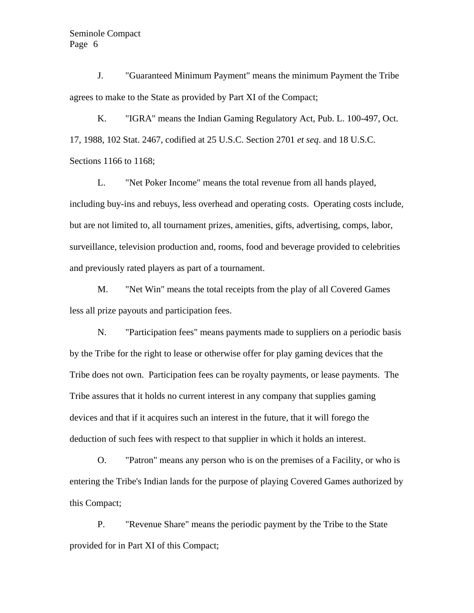J. "Guaranteed Minimum Payment" means the minimum Payment the Tribe agrees to make to the State as provided by Part XI of the Compact;

K. "IGRA" means the Indian Gaming Regulatory Act, Pub. L. 100-497, Oct. 17, 1988, 102 Stat. 2467, codified at 25 U.S.C. Section 2701 *et seq*. and 18 U.S.C. Sections 1166 to 1168;

L. "Net Poker Income" means the total revenue from all hands played, including buy-ins and rebuys, less overhead and operating costs. Operating costs include, but are not limited to, all tournament prizes, amenities, gifts, advertising, comps, labor, surveillance, television production and, rooms, food and beverage provided to celebrities and previously rated players as part of a tournament.

M. "Net Win" means the total receipts from the play of all Covered Games less all prize payouts and participation fees.

N. "Participation fees" means payments made to suppliers on a periodic basis by the Tribe for the right to lease or otherwise offer for play gaming devices that the Tribe does not own. Participation fees can be royalty payments, or lease payments. The Tribe assures that it holds no current interest in any company that supplies gaming devices and that if it acquires such an interest in the future, that it will forego the deduction of such fees with respect to that supplier in which it holds an interest.

O. "Patron" means any person who is on the premises of a Facility, or who is entering the Tribe's Indian lands for the purpose of playing Covered Games authorized by this Compact;

P. "Revenue Share" means the periodic payment by the Tribe to the State provided for in Part XI of this Compact;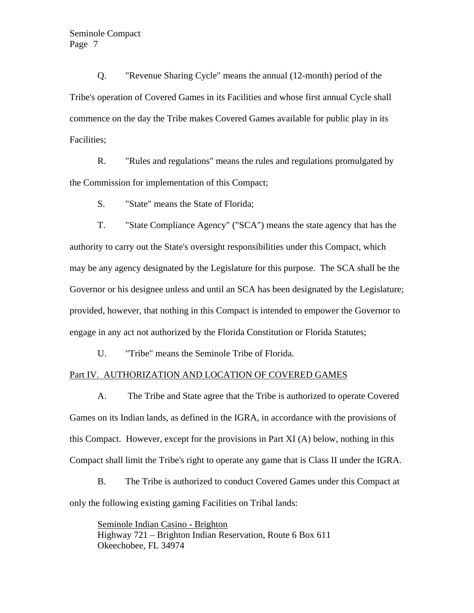Q. "Revenue Sharing Cycle" means the annual (12-month) period of the Tribe's operation of Covered Games in its Facilities and whose first annual Cycle shall commence on the day the Tribe makes Covered Games available for public play in its Facilities;

R. "Rules and regulations" means the rules and regulations promulgated by the Commission for implementation of this Compact;

S. "State" means the State of Florida;

T. "State Compliance Agency" ("SCA") means the state agency that has the authority to carry out the State's oversight responsibilities under this Compact, which may be any agency designated by the Legislature for this purpose. The SCA shall be the Governor or his designee unless and until an SCA has been designated by the Legislature; provided, however, that nothing in this Compact is intended to empower the Governor to engage in any act not authorized by the Florida Constitution or Florida Statutes;

U. "Tribe" means the Seminole Tribe of Florida.

# Part IV. AUTHORIZATION AND LOCATION OF COVERED GAMES

A. The Tribe and State agree that the Tribe is authorized to operate Covered Games on its Indian lands, as defined in the IGRA, in accordance with the provisions of this Compact. However, except for the provisions in Part XI (A) below, nothing in this Compact shall limit the Tribe's right to operate any game that is Class II under the IGRA.

B. The Tribe is authorized to conduct Covered Games under this Compact at only the following existing gaming Facilities on Tribal lands:

Seminole Indian Casino - Brighton Highway 721 – Brighton Indian Reservation, Route 6 Box 611 Okeechobee, FL 34974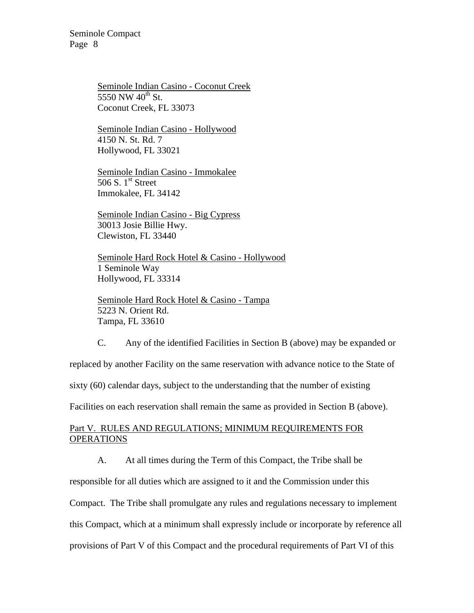Seminole Indian Casino - Coconut Creek  $5550$  NW  $40^{th}$  St. Coconut Creek, FL 33073

Seminole Indian Casino - Hollywood 4150 N. St. Rd. 7 Hollywood, FL 33021

Seminole Indian Casino - Immokalee 506 S.  $1<sup>st</sup>$  Street Immokalee, FL 34142

Seminole Indian Casino - Big Cypress 30013 Josie Billie Hwy. Clewiston, FL 33440

Seminole Hard Rock Hotel & Casino - Hollywood 1 Seminole Way Hollywood, FL 33314

Seminole Hard Rock Hotel & Casino - Tampa 5223 N. Orient Rd. Tampa, FL 33610

C. Any of the identified Facilities in Section B (above) may be expanded or replaced by another Facility on the same reservation with advance notice to the State of sixty (60) calendar days, subject to the understanding that the number of existing Facilities on each reservation shall remain the same as provided in Section B (above).

## Part V. RULES AND REGULATIONS; MINIMUM REQUIREMENTS FOR **OPERATIONS**

A. At all times during the Term of this Compact, the Tribe shall be

responsible for all duties which are assigned to it and the Commission under this

Compact. The Tribe shall promulgate any rules and regulations necessary to implement

this Compact, which at a minimum shall expressly include or incorporate by reference all

provisions of Part V of this Compact and the procedural requirements of Part VI of this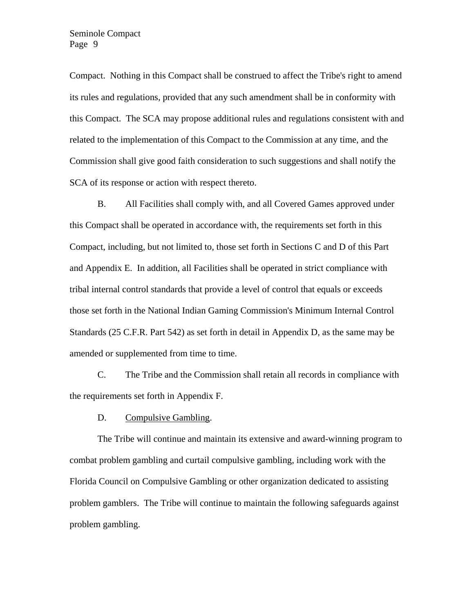Compact. Nothing in this Compact shall be construed to affect the Tribe's right to amend its rules and regulations, provided that any such amendment shall be in conformity with this Compact. The SCA may propose additional rules and regulations consistent with and related to the implementation of this Compact to the Commission at any time, and the Commission shall give good faith consideration to such suggestions and shall notify the SCA of its response or action with respect thereto.

B. All Facilities shall comply with, and all Covered Games approved under this Compact shall be operated in accordance with, the requirements set forth in this Compact, including, but not limited to, those set forth in Sections C and D of this Part and Appendix E. In addition, all Facilities shall be operated in strict compliance with tribal internal control standards that provide a level of control that equals or exceeds those set forth in the National Indian Gaming Commission's Minimum Internal Control Standards (25 C.F.R. Part 542) as set forth in detail in Appendix D, as the same may be amended or supplemented from time to time.

C. The Tribe and the Commission shall retain all records in compliance with the requirements set forth in Appendix F.

D. Compulsive Gambling.

The Tribe will continue and maintain its extensive and award-winning program to combat problem gambling and curtail compulsive gambling, including work with the Florida Council on Compulsive Gambling or other organization dedicated to assisting problem gamblers. The Tribe will continue to maintain the following safeguards against problem gambling.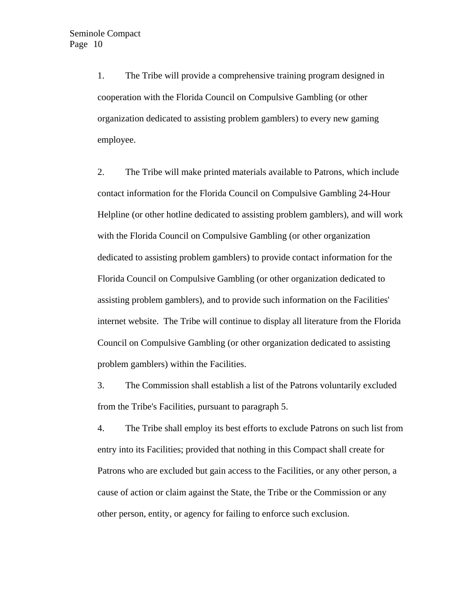1. The Tribe will provide a comprehensive training program designed in cooperation with the Florida Council on Compulsive Gambling (or other organization dedicated to assisting problem gamblers) to every new gaming employee.

2. The Tribe will make printed materials available to Patrons, which include contact information for the Florida Council on Compulsive Gambling 24-Hour Helpline (or other hotline dedicated to assisting problem gamblers), and will work with the Florida Council on Compulsive Gambling (or other organization dedicated to assisting problem gamblers) to provide contact information for the Florida Council on Compulsive Gambling (or other organization dedicated to assisting problem gamblers), and to provide such information on the Facilities' internet website. The Tribe will continue to display all literature from the Florida Council on Compulsive Gambling (or other organization dedicated to assisting problem gamblers) within the Facilities.

3. The Commission shall establish a list of the Patrons voluntarily excluded from the Tribe's Facilities, pursuant to paragraph 5.

4. The Tribe shall employ its best efforts to exclude Patrons on such list from entry into its Facilities; provided that nothing in this Compact shall create for Patrons who are excluded but gain access to the Facilities, or any other person, a cause of action or claim against the State, the Tribe or the Commission or any other person, entity, or agency for failing to enforce such exclusion.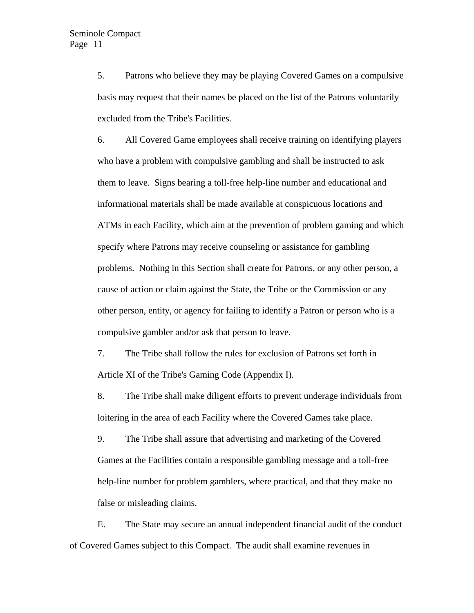5. Patrons who believe they may be playing Covered Games on a compulsive basis may request that their names be placed on the list of the Patrons voluntarily excluded from the Tribe's Facilities.

6. All Covered Game employees shall receive training on identifying players who have a problem with compulsive gambling and shall be instructed to ask them to leave. Signs bearing a toll-free help-line number and educational and informational materials shall be made available at conspicuous locations and ATMs in each Facility, which aim at the prevention of problem gaming and which specify where Patrons may receive counseling or assistance for gambling problems. Nothing in this Section shall create for Patrons, or any other person, a cause of action or claim against the State, the Tribe or the Commission or any other person, entity, or agency for failing to identify a Patron or person who is a compulsive gambler and/or ask that person to leave.

7. The Tribe shall follow the rules for exclusion of Patrons set forth in Article XI of the Tribe's Gaming Code (Appendix I).

8. The Tribe shall make diligent efforts to prevent underage individuals from loitering in the area of each Facility where the Covered Games take place.

9. The Tribe shall assure that advertising and marketing of the Covered Games at the Facilities contain a responsible gambling message and a toll-free help-line number for problem gamblers, where practical, and that they make no false or misleading claims.

E. The State may secure an annual independent financial audit of the conduct of Covered Games subject to this Compact. The audit shall examine revenues in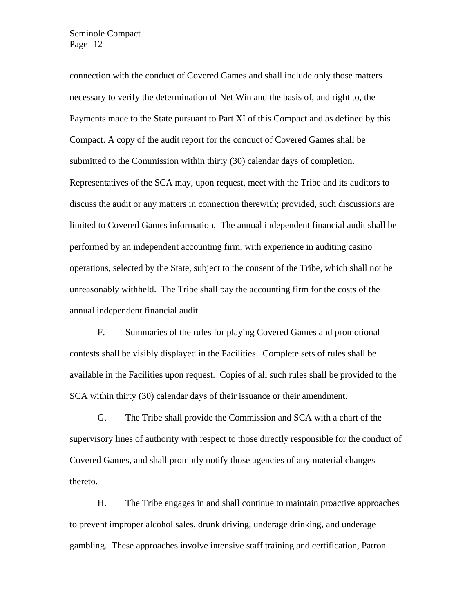# Page 12 Seminole Compact

connection with the conduct of Covered Games and shall include only those matters necessary to verify the determination of Net Win and the basis of, and right to, the Payments made to the State pursuant to Part XI of this Compact and as defined by this Compact. A copy of the audit report for the conduct of Covered Games shall be submitted to the Commission within thirty (30) calendar days of completion. Representatives of the SCA may, upon request, meet with the Tribe and its auditors to discuss the audit or any matters in connection therewith; provided, such discussions are limited to Covered Games information. The annual independent financial audit shall be performed by an independent accounting firm, with experience in auditing casino operations, selected by the State, subject to the consent of the Tribe, which shall not be unreasonably withheld. The Tribe shall pay the accounting firm for the costs of the annual independent financial audit.

F. Summaries of the rules for playing Covered Games and promotional contests shall be visibly displayed in the Facilities. Complete sets of rules shall be available in the Facilities upon request. Copies of all such rules shall be provided to the SCA within thirty (30) calendar days of their issuance or their amendment.

G. The Tribe shall provide the Commission and SCA with a chart of the supervisory lines of authority with respect to those directly responsible for the conduct of Covered Games, and shall promptly notify those agencies of any material changes thereto.

H. The Tribe engages in and shall continue to maintain proactive approaches to prevent improper alcohol sales, drunk driving, underage drinking, and underage gambling. These approaches involve intensive staff training and certification, Patron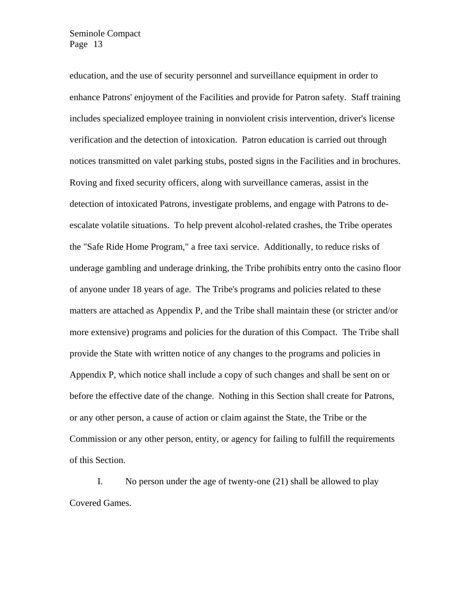# Page 13 Seminole Compact

 before the effective date of the change. Nothing in this Section shall create for Patrons, education, and the use of security personnel and surveillance equipment in order to enhance Patrons' enjoyment of the Facilities and provide for Patron safety. Staff training includes specialized employee training in nonviolent crisis intervention, driver's license verification and the detection of intoxication. Patron education is carried out through notices transmitted on valet parking stubs, posted signs in the Facilities and in brochures. Roving and fixed security officers, along with surveillance cameras, assist in the detection of intoxicated Patrons, investigate problems, and engage with Patrons to deescalate volatile situations. To help prevent alcohol-related crashes, the Tribe operates the "Safe Ride Home Program," a free taxi service. Additionally, to reduce risks of underage gambling and underage drinking, the Tribe prohibits entry onto the casino floor of anyone under 18 years of age. The Tribe's programs and policies related to these matters are attached as Appendix P, and the Tribe shall maintain these (or stricter and/or more extensive) programs and policies for the duration of this Compact. The Tribe shall provide the State with written notice of any changes to the programs and policies in Appendix P, which notice shall include a copy of such changes and shall be sent on or or any other person, a cause of action or claim against the State, the Tribe or the Commission or any other person, entity, or agency for failing to fulfill the requirements of this Section.

I. No person under the age of twenty-one (21) shall be allowed to play Covered Games.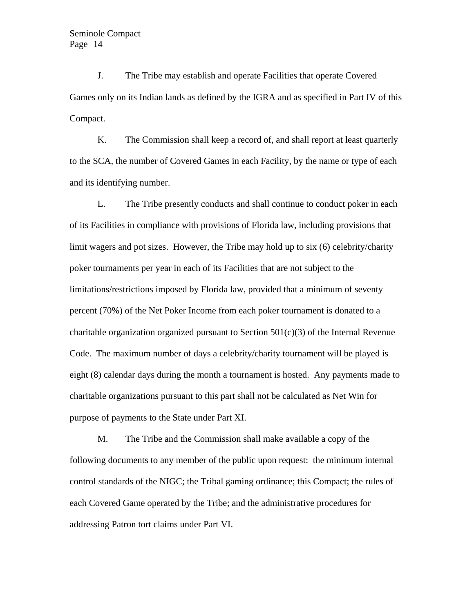J. The Tribe may establish and operate Facilities that operate Covered Games only on its Indian lands as defined by the IGRA and as specified in Part IV of this Compact.

K. The Commission shall keep a record of, and shall report at least quarterly to the SCA, the number of Covered Games in each Facility, by the name or type of each and its identifying number.

L. The Tribe presently conducts and shall continue to conduct poker in each of its Facilities in compliance with provisions of Florida law, including provisions that limit wagers and pot sizes. However, the Tribe may hold up to six (6) celebrity/charity poker tournaments per year in each of its Facilities that are not subject to the limitations/restrictions imposed by Florida law, provided that a minimum of seventy percent (70%) of the Net Poker Income from each poker tournament is donated to a charitable organization organized pursuant to Section  $501(c)(3)$  of the Internal Revenue Code. The maximum number of days a celebrity/charity tournament will be played is eight (8) calendar days during the month a tournament is hosted. Any payments made to charitable organizations pursuant to this part shall not be calculated as Net Win for purpose of payments to the State under Part XI.

M. The Tribe and the Commission shall make available a copy of the following documents to any member of the public upon request: the minimum internal control standards of the NIGC; the Tribal gaming ordinance; this Compact; the rules of each Covered Game operated by the Tribe; and the administrative procedures for addressing Patron tort claims under Part VI.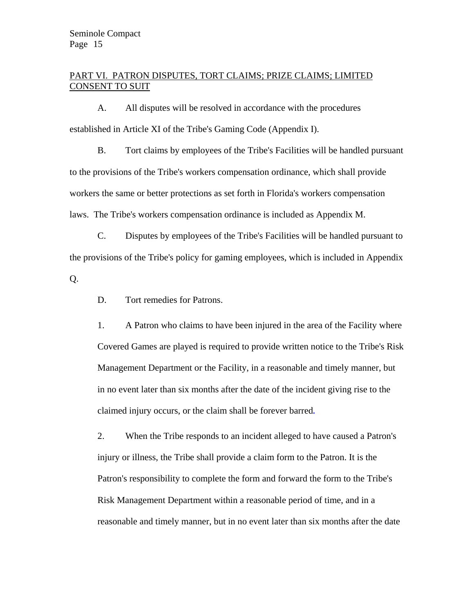# PART VI. PATRON DISPUTES, TORT CLAIMS; PRIZE CLAIMS; LIMITED CONSENT TO SUIT

A. All disputes will be resolved in accordance with the procedures established in Article XI of the Tribe's Gaming Code (Appendix I).

B. Tort claims by employees of the Tribe's Facilities will be handled pursuant to the provisions of the Tribe's workers compensation ordinance, which shall provide workers the same or better protections as set forth in Florida's workers compensation laws. The Tribe's workers compensation ordinance is included as Appendix M.

C. Disputes by employees of the Tribe's Facilities will be handled pursuant to the provisions of the Tribe's policy for gaming employees, which is included in Appendix Q.

D. Tort remedies for Patrons.

 Management Department or the Facility, in a reasonable and timely manner, but 1. A Patron who claims to have been injured in the area of the Facility where Covered Games are played is required to provide written notice to the Tribe's Risk in no event later than six months after the date of the incident giving rise to the claimed injury occurs, or the claim shall be forever barred**.** 

 reasonable and timely manner, but in no event later than six months after the date 2. When the Tribe responds to an incident alleged to have caused a Patron's injury or illness, the Tribe shall provide a claim form to the Patron. It is the Patron's responsibility to complete the form and forward the form to the Tribe's Risk Management Department within a reasonable period of time, and in a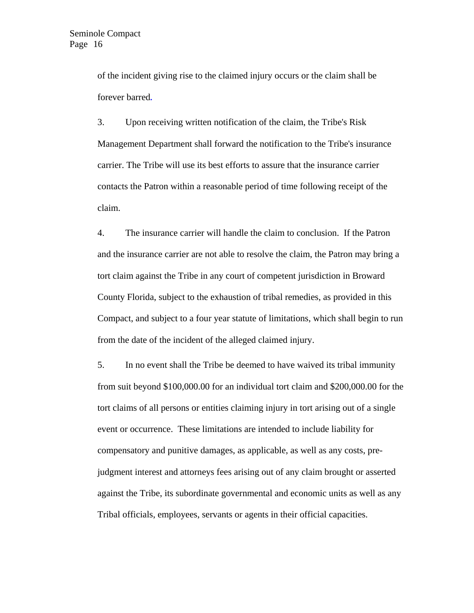of the incident giving rise to the claimed injury occurs or the claim shall be forever barred**.** 

3. Upon receiving written notification of the claim, the Tribe's Risk Management Department shall forward the notification to the Tribe's insurance carrier. The Tribe will use its best efforts to assure that the insurance carrier contacts the Patron within a reasonable period of time following receipt of the claim.

4. The insurance carrier will handle the claim to conclusion. If the Patron and the insurance carrier are not able to resolve the claim, the Patron may bring a tort claim against the Tribe in any court of competent jurisdiction in Broward County Florida, subject to the exhaustion of tribal remedies, as provided in this Compact, and subject to a four year statute of limitations, which shall begin to run from the date of the incident of the alleged claimed injury.

5. In no event shall the Tribe be deemed to have waived its tribal immunity from suit beyond \$100,000.00 for an individual tort claim and \$200,000.00 for the tort claims of all persons or entities claiming injury in tort arising out of a single event or occurrence. These limitations are intended to include liability for compensatory and punitive damages, as applicable, as well as any costs, prejudgment interest and attorneys fees arising out of any claim brought or asserted against the Tribe, its subordinate governmental and economic units as well as any Tribal officials, employees, servants or agents in their official capacities.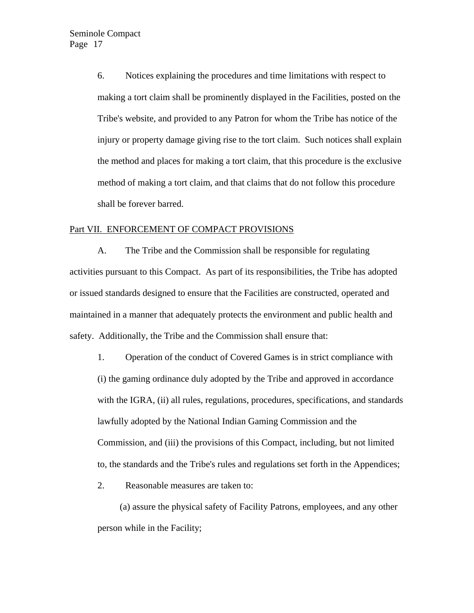6. Notices explaining the procedures and time limitations with respect to making a tort claim shall be prominently displayed in the Facilities, posted on the Tribe's website, and provided to any Patron for whom the Tribe has notice of the injury or property damage giving rise to the tort claim. Such notices shall explain the method and places for making a tort claim, that this procedure is the exclusive method of making a tort claim, and that claims that do not follow this procedure shall be forever barred.

#### Part VII. ENFORCEMENT OF COMPACT PROVISIONS

A. The Tribe and the Commission shall be responsible for regulating activities pursuant to this Compact. As part of its responsibilities, the Tribe has adopted or issued standards designed to ensure that the Facilities are constructed, operated and maintained in a manner that adequately protects the environment and public health and safety. Additionally, the Tribe and the Commission shall ensure that:

1. Operation of the conduct of Covered Games is in strict compliance with (i) the gaming ordinance duly adopted by the Tribe and approved in accordance with the IGRA, (ii) all rules, regulations, procedures, specifications, and standards lawfully adopted by the National Indian Gaming Commission and the Commission, and (iii) the provisions of this Compact, including, but not limited to, the standards and the Tribe's rules and regulations set forth in the Appendices;

2. Reasonable measures are taken to:

(a) assure the physical safety of Facility Patrons, employees, and any other person while in the Facility;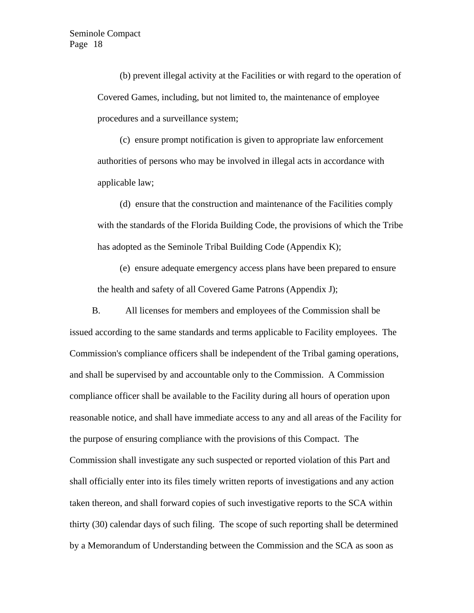(b) prevent illegal activity at the Facilities or with regard to the operation of Covered Games, including, but not limited to, the maintenance of employee procedures and a surveillance system;

(c) ensure prompt notification is given to appropriate law enforcement authorities of persons who may be involved in illegal acts in accordance with applicable law;

(d) ensure that the construction and maintenance of the Facilities comply with the standards of the Florida Building Code, the provisions of which the Tribe has adopted as the Seminole Tribal Building Code (Appendix K);

(e) ensure adequate emergency access plans have been prepared to ensure the health and safety of all Covered Game Patrons (Appendix J);

B. All licenses for members and employees of the Commission shall be issued according to the same standards and terms applicable to Facility employees. The Commission's compliance officers shall be independent of the Tribal gaming operations, and shall be supervised by and accountable only to the Commission. A Commission compliance officer shall be available to the Facility during all hours of operation upon reasonable notice, and shall have immediate access to any and all areas of the Facility for the purpose of ensuring compliance with the provisions of this Compact. The Commission shall investigate any such suspected or reported violation of this Part and shall officially enter into its files timely written reports of investigations and any action taken thereon, and shall forward copies of such investigative reports to the SCA within thirty (30) calendar days of such filing. The scope of such reporting shall be determined by a Memorandum of Understanding between the Commission and the SCA as soon as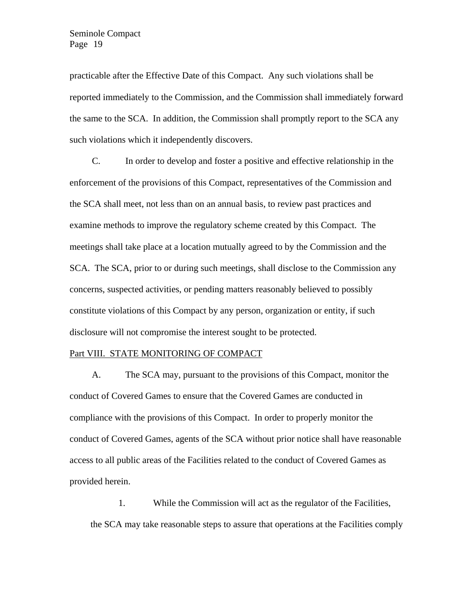practicable after the Effective Date of this Compact. Any such violations shall be reported immediately to the Commission, and the Commission shall immediately forward the same to the SCA. In addition, the Commission shall promptly report to the SCA any such violations which it independently discovers.

C. In order to develop and foster a positive and effective relationship in the enforcement of the provisions of this Compact, representatives of the Commission and the SCA shall meet, not less than on an annual basis, to review past practices and examine methods to improve the regulatory scheme created by this Compact. The meetings shall take place at a location mutually agreed to by the Commission and the SCA. The SCA, prior to or during such meetings, shall disclose to the Commission any concerns, suspected activities, or pending matters reasonably believed to possibly constitute violations of this Compact by any person, organization or entity, if such disclosure will not compromise the interest sought to be protected.

#### Part VIII. STATE MONITORING OF COMPACT

A. The SCA may, pursuant to the provisions of this Compact, monitor the conduct of Covered Games to ensure that the Covered Games are conducted in compliance with the provisions of this Compact. In order to properly monitor the conduct of Covered Games, agents of the SCA without prior notice shall have reasonable access to all public areas of the Facilities related to the conduct of Covered Games as provided herein.

1. While the Commission will act as the regulator of the Facilities, the SCA may take reasonable steps to assure that operations at the Facilities comply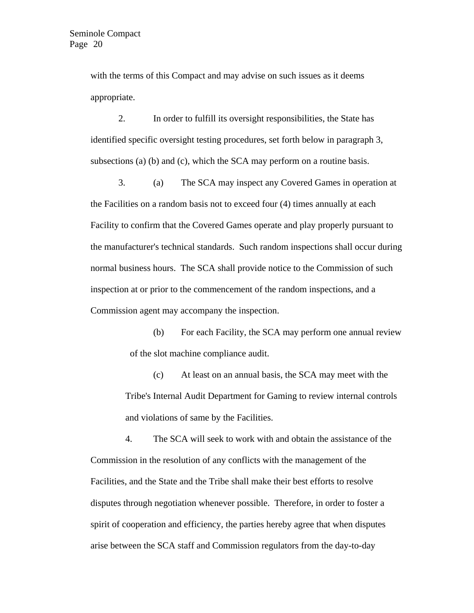with the terms of this Compact and may advise on such issues as it deems appropriate.

2. In order to fulfill its oversight responsibilities, the State has identified specific oversight testing procedures, set forth below in paragraph 3, subsections (a) (b) and (c), which the SCA may perform on a routine basis.

3. (a) The SCA may inspect any Covered Games in operation at the Facilities on a random basis not to exceed four (4) times annually at each Facility to confirm that the Covered Games operate and play properly pursuant to the manufacturer's technical standards. Such random inspections shall occur during normal business hours. The SCA shall provide notice to the Commission of such inspection at or prior to the commencement of the random inspections, and a Commission agent may accompany the inspection.

> (b) For each Facility, the SCA may perform one annual review of the slot machine compliance audit.

(c) At least on an annual basis, the SCA may meet with the Tribe's Internal Audit Department for Gaming to review internal controls and violations of same by the Facilities.

4. The SCA will seek to work with and obtain the assistance of the Commission in the resolution of any conflicts with the management of the Facilities, and the State and the Tribe shall make their best efforts to resolve disputes through negotiation whenever possible. Therefore, in order to foster a spirit of cooperation and efficiency, the parties hereby agree that when disputes arise between the SCA staff and Commission regulators from the day-to-day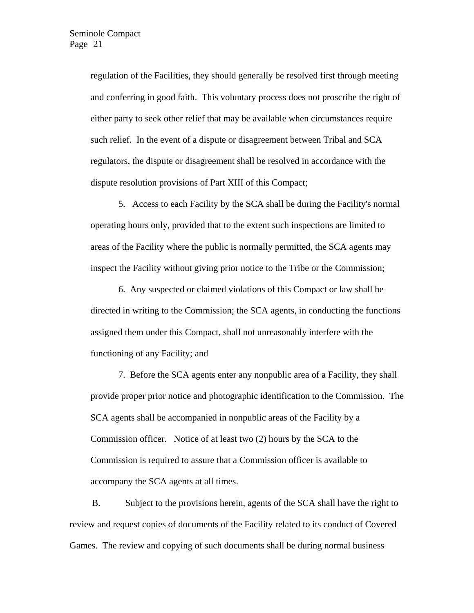regulation of the Facilities, they should generally be resolved first through meeting and conferring in good faith. This voluntary process does not proscribe the right of either party to seek other relief that may be available when circumstances require such relief. In the event of a dispute or disagreement between Tribal and SCA regulators, the dispute or disagreement shall be resolved in accordance with the dispute resolution provisions of Part XIII of this Compact;

5. Access to each Facility by the SCA shall be during the Facility's normal operating hours only, provided that to the extent such inspections are limited to areas of the Facility where the public is normally permitted, the SCA agents may inspect the Facility without giving prior notice to the Tribe or the Commission;

6. Any suspected or claimed violations of this Compact or law shall be directed in writing to the Commission; the SCA agents, in conducting the functions assigned them under this Compact, shall not unreasonably interfere with the functioning of any Facility; and

7. Before the SCA agents enter any nonpublic area of a Facility, they shall provide proper prior notice and photographic identification to the Commission. The SCA agents shall be accompanied in nonpublic areas of the Facility by a Commission officer. Notice of at least two (2) hours by the SCA to the Commission is required to assure that a Commission officer is available to accompany the SCA agents at all times.

B. Subject to the provisions herein, agents of the SCA shall have the right to review and request copies of documents of the Facility related to its conduct of Covered Games. The review and copying of such documents shall be during normal business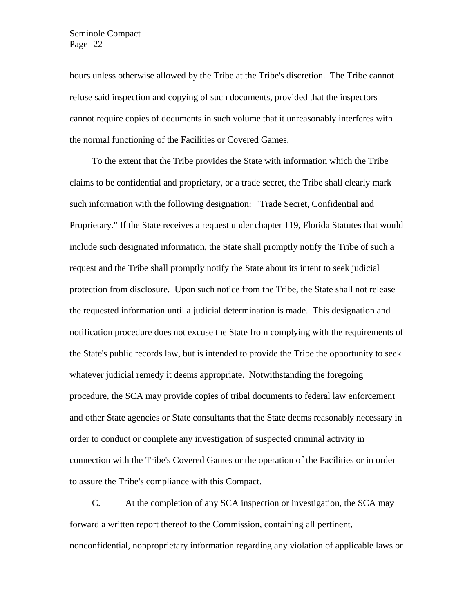hours unless otherwise allowed by the Tribe at the Tribe's discretion. The Tribe cannot refuse said inspection and copying of such documents, provided that the inspectors cannot require copies of documents in such volume that it unreasonably interferes with the normal functioning of the Facilities or Covered Games.

To the extent that the Tribe provides the State with information which the Tribe claims to be confidential and proprietary, or a trade secret, the Tribe shall clearly mark such information with the following designation: "Trade Secret, Confidential and Proprietary." If the State receives a request under chapter 119, Florida Statutes that would include such designated information, the State shall promptly notify the Tribe of such a request and the Tribe shall promptly notify the State about its intent to seek judicial protection from disclosure. Upon such notice from the Tribe, the State shall not release the requested information until a judicial determination is made. This designation and notification procedure does not excuse the State from complying with the requirements of the State's public records law, but is intended to provide the Tribe the opportunity to seek whatever judicial remedy it deems appropriate. Notwithstanding the foregoing procedure, the SCA may provide copies of tribal documents to federal law enforcement and other State agencies or State consultants that the State deems reasonably necessary in order to conduct or complete any investigation of suspected criminal activity in connection with the Tribe's Covered Games or the operation of the Facilities or in order to assure the Tribe's compliance with this Compact.

C. At the completion of any SCA inspection or investigation, the SCA may forward a written report thereof to the Commission, containing all pertinent, nonconfidential, nonproprietary information regarding any violation of applicable laws or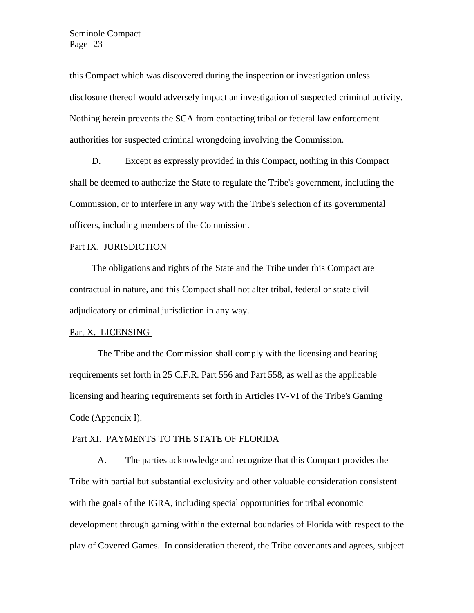this Compact which was discovered during the inspection or investigation unless disclosure thereof would adversely impact an investigation of suspected criminal activity. Nothing herein prevents the SCA from contacting tribal or federal law enforcement authorities for suspected criminal wrongdoing involving the Commission.

D. Except as expressly provided in this Compact, nothing in this Compact shall be deemed to authorize the State to regulate the Tribe's government, including the Commission, or to interfere in any way with the Tribe's selection of its governmental officers, including members of the Commission.

#### Part IX. JURISDICTION

The obligations and rights of the State and the Tribe under this Compact are contractual in nature, and this Compact shall not alter tribal, federal or state civil adjudicatory or criminal jurisdiction in any way.

### Part X. LICENSING

The Tribe and the Commission shall comply with the licensing and hearing requirements set forth in 25 C.F.R. Part 556 and Part 558, as well as the applicable licensing and hearing requirements set forth in Articles IV-VI of the Tribe's Gaming Code (Appendix I).

#### Part XI. PAYMENTS TO THE STATE OF FLORIDA

A. The parties acknowledge and recognize that this Compact provides the Tribe with partial but substantial exclusivity and other valuable consideration consistent with the goals of the IGRA, including special opportunities for tribal economic development through gaming within the external boundaries of Florida with respect to the play of Covered Games. In consideration thereof, the Tribe covenants and agrees, subject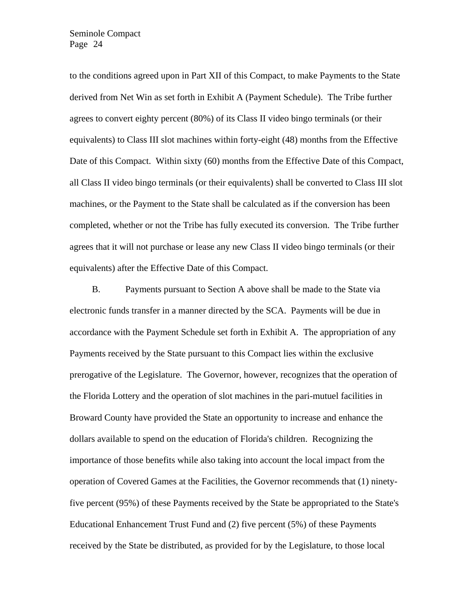to the conditions agreed upon in Part XII of this Compact, to make Payments to the State derived from Net Win as set forth in Exhibit A (Payment Schedule). The Tribe further agrees to convert eighty percent (80%) of its Class II video bingo terminals (or their equivalents) to Class III slot machines within forty-eight (48) months from the Effective Date of this Compact. Within sixty (60) months from the Effective Date of this Compact, all Class II video bingo terminals (or their equivalents) shall be converted to Class III slot machines, or the Payment to the State shall be calculated as if the conversion has been completed, whether or not the Tribe has fully executed its conversion. The Tribe further agrees that it will not purchase or lease any new Class II video bingo terminals (or their equivalents) after the Effective Date of this Compact.

B. Payments pursuant to Section A above shall be made to the State via electronic funds transfer in a manner directed by the SCA. Payments will be due in accordance with the Payment Schedule set forth in Exhibit A. The appropriation of any Payments received by the State pursuant to this Compact lies within the exclusive prerogative of the Legislature. The Governor, however, recognizes that the operation of the Florida Lottery and the operation of slot machines in the pari-mutuel facilities in Broward County have provided the State an opportunity to increase and enhance the dollars available to spend on the education of Florida's children. Recognizing the importance of those benefits while also taking into account the local impact from the operation of Covered Games at the Facilities, the Governor recommends that (1) ninetyfive percent (95%) of these Payments received by the State be appropriated to the State's Educational Enhancement Trust Fund and (2) five percent (5%) of these Payments received by the State be distributed, as provided for by the Legislature, to those local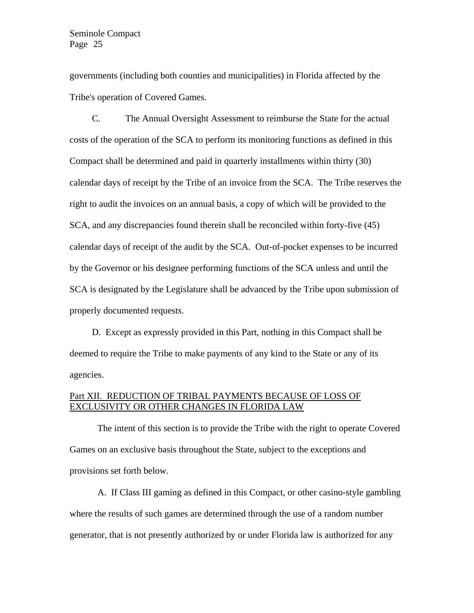governments (including both counties and municipalities) in Florida affected by the Tribe's operation of Covered Games.

C. The Annual Oversight Assessment to reimburse the State for the actual costs of the operation of the SCA to perform its monitoring functions as defined in this Compact shall be determined and paid in quarterly installments within thirty (30) calendar days of receipt by the Tribe of an invoice from the SCA. The Tribe reserves the right to audit the invoices on an annual basis, a copy of which will be provided to the SCA, and any discrepancies found therein shall be reconciled within forty-five (45) calendar days of receipt of the audit by the SCA. Out-of-pocket expenses to be incurred by the Governor or his designee performing functions of the SCA unless and until the SCA is designated by the Legislature shall be advanced by the Tribe upon submission of properly documented requests.

D. Except as expressly provided in this Part, nothing in this Compact shall be deemed to require the Tribe to make payments of any kind to the State or any of its agencies.

# Part XII. REDUCTION OF TRIBAL PAYMENTS BECAUSE OF LOSS OF EXCLUSIVITY OR OTHER CHANGES IN FLORIDA LAW

The intent of this section is to provide the Tribe with the right to operate Covered Games on an exclusive basis throughout the State, subject to the exceptions and provisions set forth below.

A. If Class III gaming as defined in this Compact, or other casino-style gambling where the results of such games are determined through the use of a random number generator, that is not presently authorized by or under Florida law is authorized for any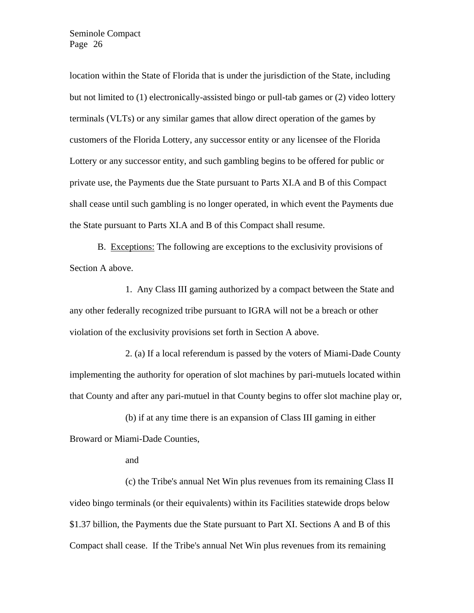location within the State of Florida that is under the jurisdiction of the State, including but not limited to (1) electronically-assisted bingo or pull-tab games or (2) video lottery terminals (VLTs) or any similar games that allow direct operation of the games by customers of the Florida Lottery, any successor entity or any licensee of the Florida Lottery or any successor entity, and such gambling begins to be offered for public or private use, the Payments due the State pursuant to Parts XI.A and B of this Compact shall cease until such gambling is no longer operated, in which event the Payments due the State pursuant to Parts XI.A and B of this Compact shall resume.

B. Exceptions: The following are exceptions to the exclusivity provisions of Section A above.

1. Any Class III gaming authorized by a compact between the State and any other federally recognized tribe pursuant to IGRA will not be a breach or other violation of the exclusivity provisions set forth in Section A above.

2. (a) If a local referendum is passed by the voters of Miami-Dade County implementing the authority for operation of slot machines by pari-mutuels located within that County and after any pari-mutuel in that County begins to offer slot machine play or,

(b) if at any time there is an expansion of Class III gaming in either Broward or Miami-Dade Counties,

and

(c) the Tribe's annual Net Win plus revenues from its remaining Class II video bingo terminals (or their equivalents) within its Facilities statewide drops below \$1.37 billion, the Payments due the State pursuant to Part XI. Sections A and B of this Compact shall cease. If the Tribe's annual Net Win plus revenues from its remaining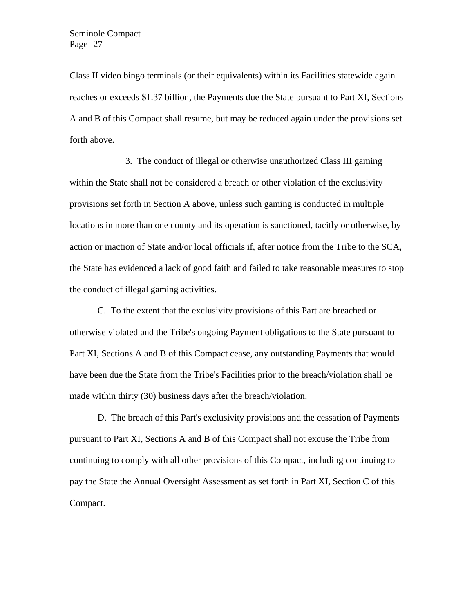Class II video bingo terminals (or their equivalents) within its Facilities statewide again reaches or exceeds \$1.37 billion, the Payments due the State pursuant to Part XI, Sections A and B of this Compact shall resume, but may be reduced again under the provisions set forth above.

3. The conduct of illegal or otherwise unauthorized Class III gaming within the State shall not be considered a breach or other violation of the exclusivity provisions set forth in Section A above, unless such gaming is conducted in multiple locations in more than one county and its operation is sanctioned, tacitly or otherwise, by action or inaction of State and/or local officials if, after notice from the Tribe to the SCA, the State has evidenced a lack of good faith and failed to take reasonable measures to stop the conduct of illegal gaming activities.

C. To the extent that the exclusivity provisions of this Part are breached or otherwise violated and the Tribe's ongoing Payment obligations to the State pursuant to Part XI, Sections A and B of this Compact cease, any outstanding Payments that would have been due the State from the Tribe's Facilities prior to the breach/violation shall be made within thirty (30) business days after the breach/violation.

D. The breach of this Part's exclusivity provisions and the cessation of Payments pursuant to Part XI, Sections A and B of this Compact shall not excuse the Tribe from continuing to comply with all other provisions of this Compact, including continuing to pay the State the Annual Oversight Assessment as set forth in Part XI, Section C of this Compact.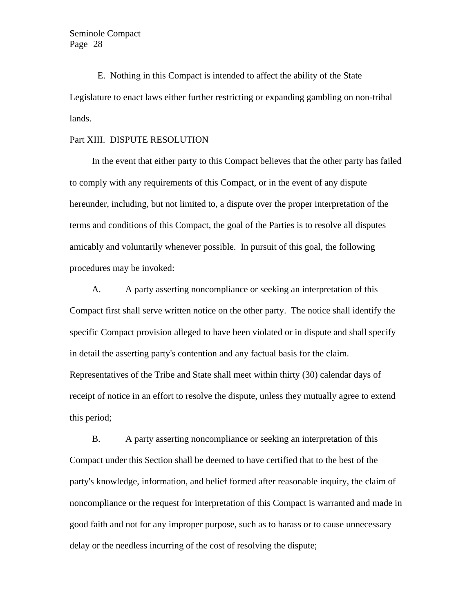E. Nothing in this Compact is intended to affect the ability of the State Legislature to enact laws either further restricting or expanding gambling on non-tribal lands.

#### Part XIII. DISPUTE RESOLUTION

In the event that either party to this Compact believes that the other party has failed to comply with any requirements of this Compact, or in the event of any dispute hereunder, including, but not limited to, a dispute over the proper interpretation of the terms and conditions of this Compact, the goal of the Parties is to resolve all disputes amicably and voluntarily whenever possible. In pursuit of this goal, the following procedures may be invoked:

A. A party asserting noncompliance or seeking an interpretation of this Compact first shall serve written notice on the other party. The notice shall identify the specific Compact provision alleged to have been violated or in dispute and shall specify in detail the asserting party's contention and any factual basis for the claim. Representatives of the Tribe and State shall meet within thirty (30) calendar days of receipt of notice in an effort to resolve the dispute, unless they mutually agree to extend this period;

B. A party asserting noncompliance or seeking an interpretation of this Compact under this Section shall be deemed to have certified that to the best of the party's knowledge, information, and belief formed after reasonable inquiry, the claim of noncompliance or the request for interpretation of this Compact is warranted and made in good faith and not for any improper purpose, such as to harass or to cause unnecessary delay or the needless incurring of the cost of resolving the dispute;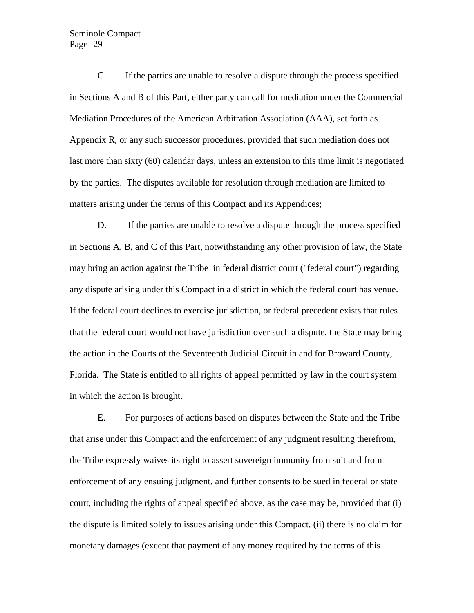## Page 29 Seminole Compact

C. If the parties are unable to resolve a dispute through the process specified in Sections A and B of this Part, either party can call for mediation under the Commercial Mediation Procedures of the American Arbitration Association (AAA), set forth as Appendix R, or any such successor procedures, provided that such mediation does not last more than sixty (60) calendar days, unless an extension to this time limit is negotiated by the parties. The disputes available for resolution through mediation are limited to matters arising under the terms of this Compact and its Appendices;

D. If the parties are unable to resolve a dispute through the process specified in Sections A, B, and C of this Part, notwithstanding any other provision of law, the State may bring an action against the Tribe in federal district court ("federal court") regarding any dispute arising under this Compact in a district in which the federal court has venue. If the federal court declines to exercise jurisdiction, or federal precedent exists that rules that the federal court would not have jurisdiction over such a dispute, the State may bring the action in the Courts of the Seventeenth Judicial Circuit in and for Broward County, Florida. The State is entitled to all rights of appeal permitted by law in the court system in which the action is brought.

E. For purposes of actions based on disputes between the State and the Tribe that arise under this Compact and the enforcement of any judgment resulting therefrom, the Tribe expressly waives its right to assert sovereign immunity from suit and from enforcement of any ensuing judgment, and further consents to be sued in federal or state court, including the rights of appeal specified above, as the case may be, provided that (i) the dispute is limited solely to issues arising under this Compact, (ii) there is no claim for monetary damages (except that payment of any money required by the terms of this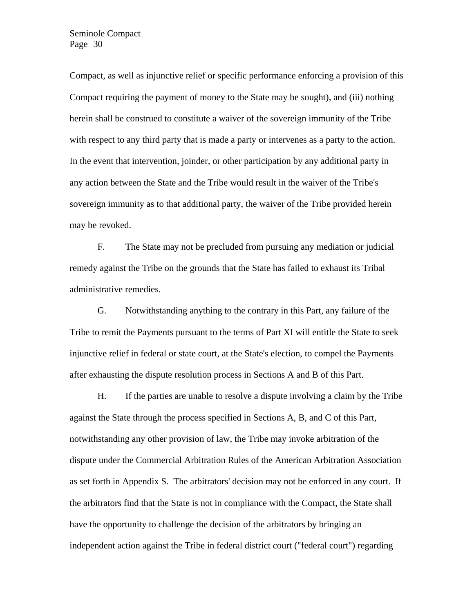Compact, as well as injunctive relief or specific performance enforcing a provision of this Compact requiring the payment of money to the State may be sought), and (iii) nothing herein shall be construed to constitute a waiver of the sovereign immunity of the Tribe with respect to any third party that is made a party or intervenes as a party to the action. In the event that intervention, joinder, or other participation by any additional party in any action between the State and the Tribe would result in the waiver of the Tribe's sovereign immunity as to that additional party, the waiver of the Tribe provided herein may be revoked.

F. The State may not be precluded from pursuing any mediation or judicial remedy against the Tribe on the grounds that the State has failed to exhaust its Tribal administrative remedies.

G. Notwithstanding anything to the contrary in this Part, any failure of the Tribe to remit the Payments pursuant to the terms of Part XI will entitle the State to seek injunctive relief in federal or state court, at the State's election, to compel the Payments after exhausting the dispute resolution process in Sections A and B of this Part.

H. If the parties are unable to resolve a dispute involving a claim by the Tribe against the State through the process specified in Sections A, B, and C of this Part, notwithstanding any other provision of law, the Tribe may invoke arbitration of the dispute under the Commercial Arbitration Rules of the American Arbitration Association as set forth in Appendix S. The arbitrators' decision may not be enforced in any court. If the arbitrators find that the State is not in compliance with the Compact, the State shall have the opportunity to challenge the decision of the arbitrators by bringing an independent action against the Tribe in federal district court ("federal court") regarding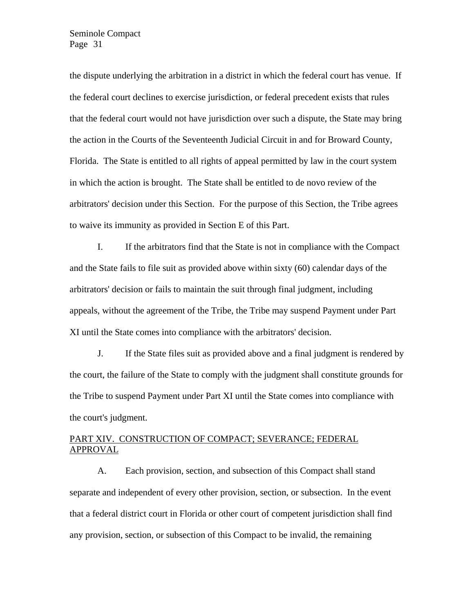the dispute underlying the arbitration in a district in which the federal court has venue. If the federal court declines to exercise jurisdiction, or federal precedent exists that rules that the federal court would not have jurisdiction over such a dispute, the State may bring the action in the Courts of the Seventeenth Judicial Circuit in and for Broward County, Florida. The State is entitled to all rights of appeal permitted by law in the court system in which the action is brought. The State shall be entitled to de novo review of the arbitrators' decision under this Section. For the purpose of this Section, the Tribe agrees to waive its immunity as provided in Section E of this Part.

I. If the arbitrators find that the State is not in compliance with the Compact and the State fails to file suit as provided above within sixty (60) calendar days of the arbitrators' decision or fails to maintain the suit through final judgment, including appeals, without the agreement of the Tribe, the Tribe may suspend Payment under Part XI until the State comes into compliance with the arbitrators' decision.

J. If the State files suit as provided above and a final judgment is rendered by the court, the failure of the State to comply with the judgment shall constitute grounds for the Tribe to suspend Payment under Part XI until the State comes into compliance with the court's judgment.

# PART XIV. CONSTRUCTION OF COMPACT; SEVERANCE; FEDERAL APPROVAL

A. Each provision, section, and subsection of this Compact shall stand separate and independent of every other provision, section, or subsection. In the event that a federal district court in Florida or other court of competent jurisdiction shall find any provision, section, or subsection of this Compact to be invalid, the remaining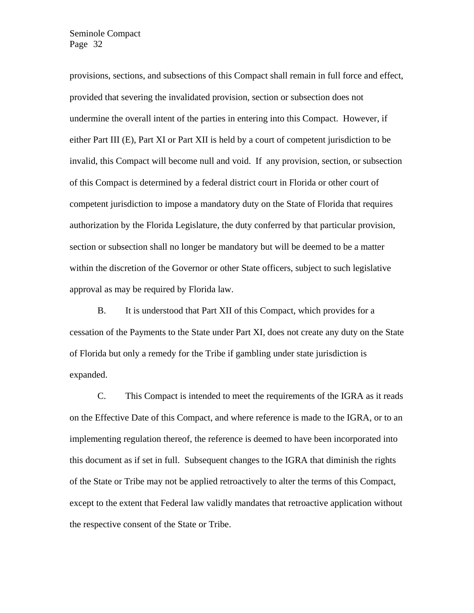provisions, sections, and subsections of this Compact shall remain in full force and effect, provided that severing the invalidated provision, section or subsection does not undermine the overall intent of the parties in entering into this Compact. However, if either Part III (E), Part XI or Part XII is held by a court of competent jurisdiction to be invalid, this Compact will become null and void. If any provision, section, or subsection of this Compact is determined by a federal district court in Florida or other court of competent jurisdiction to impose a mandatory duty on the State of Florida that requires authorization by the Florida Legislature, the duty conferred by that particular provision, section or subsection shall no longer be mandatory but will be deemed to be a matter within the discretion of the Governor or other State officers, subject to such legislative approval as may be required by Florida law.

B. It is understood that Part XII of this Compact, which provides for a cessation of the Payments to the State under Part XI, does not create any duty on the State of Florida but only a remedy for the Tribe if gambling under state jurisdiction is expanded.

C. This Compact is intended to meet the requirements of the IGRA as it reads on the Effective Date of this Compact, and where reference is made to the IGRA, or to an implementing regulation thereof, the reference is deemed to have been incorporated into this document as if set in full. Subsequent changes to the IGRA that diminish the rights of the State or Tribe may not be applied retroactively to alter the terms of this Compact, except to the extent that Federal law validly mandates that retroactive application without the respective consent of the State or Tribe.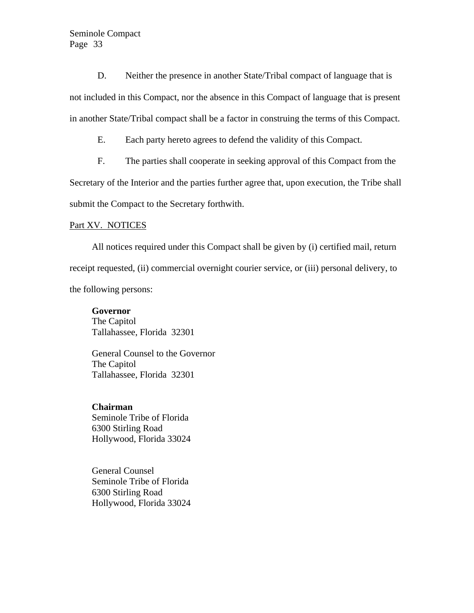D. Neither the presence in another State/Tribal compact of language that is not included in this Compact, nor the absence in this Compact of language that is present in another State/Tribal compact shall be a factor in construing the terms of this Compact.

E. Each party hereto agrees to defend the validity of this Compact.

F. The parties shall cooperate in seeking approval of this Compact from the

Secretary of the Interior and the parties further agree that, upon execution, the Tribe shall submit the Compact to the Secretary forthwith.

# Part XV. NOTICES

All notices required under this Compact shall be given by (i) certified mail, return receipt requested, (ii) commercial overnight courier service, or (iii) personal delivery, to the following persons:

**Governor** 

The Capitol Tallahassee, Florida 32301

General Counsel to the Governor The Capitol Tallahassee, Florida 32301

## **Chairman**

Seminole Tribe of Florida 6300 Stirling Road Hollywood, Florida 33024

General Counsel Seminole Tribe of Florida 6300 Stirling Road Hollywood, Florida 33024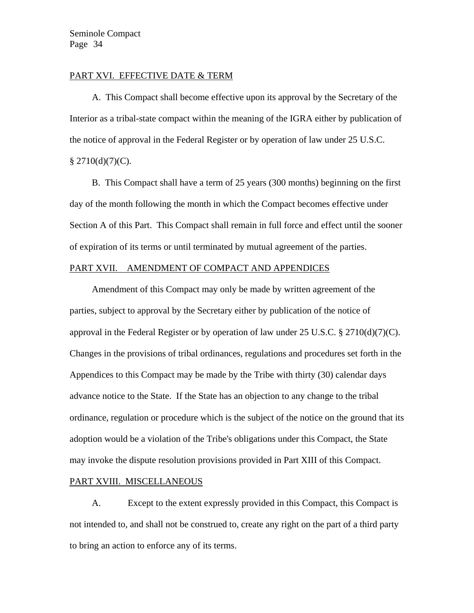#### PART XVI. EFFECTIVE DATE & TERM

A. This Compact shall become effective upon its approval by the Secretary of the Interior as a tribal-state compact within the meaning of the IGRA either by publication of the notice of approval in the Federal Register or by operation of law under 25 U.S.C.  $§$  2710(d)(7)(C).

B. This Compact shall have a term of 25 years (300 months) beginning on the first day of the month following the month in which the Compact becomes effective under Section A of this Part. This Compact shall remain in full force and effect until the sooner of expiration of its terms or until terminated by mutual agreement of the parties.

#### PART XVII. AMENDMENT OF COMPACT AND APPENDICES

Amendment of this Compact may only be made by written agreement of the parties, subject to approval by the Secretary either by publication of the notice of approval in the Federal Register or by operation of law under 25 U.S.C. § 2710(d)(7)(C). Changes in the provisions of tribal ordinances, regulations and procedures set forth in the Appendices to this Compact may be made by the Tribe with thirty (30) calendar days advance notice to the State. If the State has an objection to any change to the tribal ordinance, regulation or procedure which is the subject of the notice on the ground that its adoption would be a violation of the Tribe's obligations under this Compact, the State may invoke the dispute resolution provisions provided in Part XIII of this Compact.

### PART XVIII. MISCELLANEOUS

A. Except to the extent expressly provided in this Compact, this Compact is not intended to, and shall not be construed to, create any right on the part of a third party to bring an action to enforce any of its terms.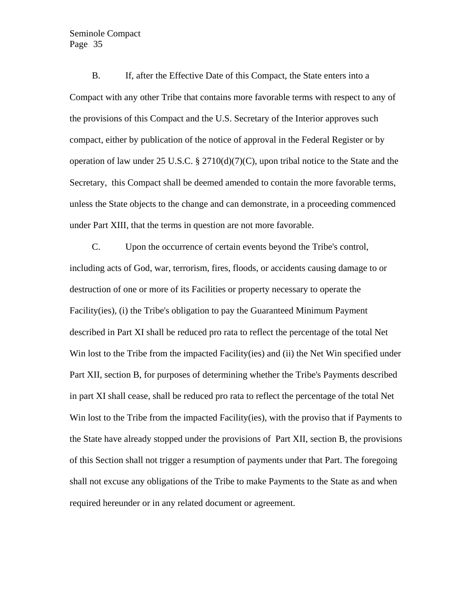B. If, after the Effective Date of this Compact, the State enters into a Compact with any other Tribe that contains more favorable terms with respect to any of the provisions of this Compact and the U.S. Secretary of the Interior approves such compact, either by publication of the notice of approval in the Federal Register or by operation of law under 25 U.S.C. § 2710(d)(7)(C), upon tribal notice to the State and the Secretary, this Compact shall be deemed amended to contain the more favorable terms, unless the State objects to the change and can demonstrate, in a proceeding commenced under Part XIII, that the terms in question are not more favorable.

C. Upon the occurrence of certain events beyond the Tribe's control, including acts of God, war, terrorism, fires, floods, or accidents causing damage to or destruction of one or more of its Facilities or property necessary to operate the Facility(ies), (i) the Tribe's obligation to pay the Guaranteed Minimum Payment described in Part XI shall be reduced pro rata to reflect the percentage of the total Net Win lost to the Tribe from the impacted Facility(ies) and (ii) the Net Win specified under Part XII, section B, for purposes of determining whether the Tribe's Payments described in part XI shall cease, shall be reduced pro rata to reflect the percentage of the total Net Win lost to the Tribe from the impacted Facility(ies), with the proviso that if Payments to the State have already stopped under the provisions of Part XII, section B, the provisions of this Section shall not trigger a resumption of payments under that Part. The foregoing shall not excuse any obligations of the Tribe to make Payments to the State as and when required hereunder or in any related document or agreement.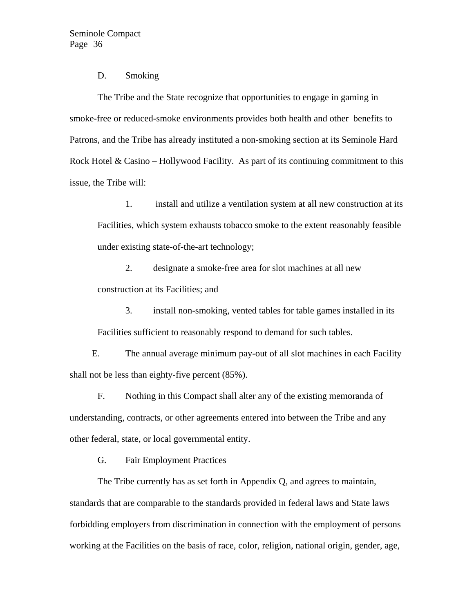#### D. Smoking

The Tribe and the State recognize that opportunities to engage in gaming in smoke-free or reduced-smoke environments provides both health and other benefits to Patrons, and the Tribe has already instituted a non-smoking section at its Seminole Hard Rock Hotel & Casino – Hollywood Facility. As part of its continuing commitment to this issue, the Tribe will:

1. install and utilize a ventilation system at all new construction at its Facilities, which system exhausts tobacco smoke to the extent reasonably feasible under existing state-of-the-art technology;

2. designate a smoke-free area for slot machines at all new construction at its Facilities; and

3. install non-smoking, vented tables for table games installed in its Facilities sufficient to reasonably respond to demand for such tables.

E. The annual average minimum pay-out of all slot machines in each Facility shall not be less than eighty-five percent (85%).

F. Nothing in this Compact shall alter any of the existing memoranda of understanding, contracts, or other agreements entered into between the Tribe and any other federal, state, or local governmental entity.

G. **Fair Employment Practices** 

The Tribe currently has as set forth in Appendix Q, and agrees to maintain, standards that are comparable to the standards provided in federal laws and State laws forbidding employers from discrimination in connection with the employment of persons working at the Facilities on the basis of race, color, religion, national origin, gender, age,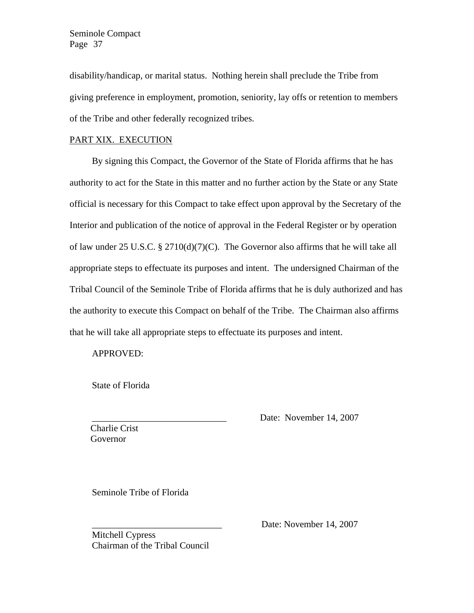disability/handicap, or marital status. Nothing herein shall preclude the Tribe from giving preference in employment, promotion, seniority, lay offs or retention to members of the Tribe and other federally recognized tribes.

## PART XIX. EXECUTION

By signing this Compact, the Governor of the State of Florida affirms that he has authority to act for the State in this matter and no further action by the State or any State official is necessary for this Compact to take effect upon approval by the Secretary of the Interior and publication of the notice of approval in the Federal Register or by operation of law under 25 U.S.C.  $\S 2710(d)(7)(C)$ . The Governor also affirms that he will take all appropriate steps to effectuate its purposes and intent. The undersigned Chairman of the Tribal Council of the Seminole Tribe of Florida affirms that he is duly authorized and has the authority to execute this Compact on behalf of the Tribe. The Chairman also affirms that he will take all appropriate steps to effectuate its purposes and intent.

APPROVED:

State of Florida

Date: November 14, 2007

Charlie Crist Governor

Seminole Tribe of Florida

Date: November 14, 2007

Mitchell Cypress Chairman of the Tribal Council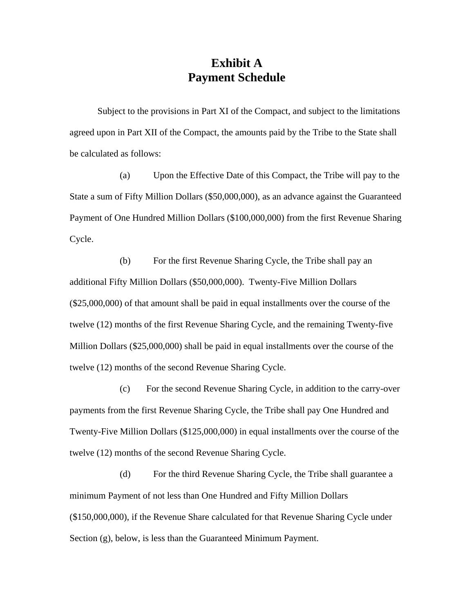# **Exhibit A Payment Schedule**

Subject to the provisions in Part XI of the Compact, and subject to the limitations agreed upon in Part XII of the Compact, the amounts paid by the Tribe to the State shall be calculated as follows:

(a) Upon the Effective Date of this Compact, the Tribe will pay to the State a sum of Fifty Million Dollars (\$50,000,000), as an advance against the Guaranteed Payment of One Hundred Million Dollars (\$100,000,000) from the first Revenue Sharing Cycle.

(b) For the first Revenue Sharing Cycle, the Tribe shall pay an additional Fifty Million Dollars (\$50,000,000). Twenty-Five Million Dollars (\$25,000,000) of that amount shall be paid in equal installments over the course of the twelve (12) months of the first Revenue Sharing Cycle, and the remaining Twenty-five Million Dollars (\$25,000,000) shall be paid in equal installments over the course of the twelve (12) months of the second Revenue Sharing Cycle.

(c) For the second Revenue Sharing Cycle, in addition to the carry-over payments from the first Revenue Sharing Cycle, the Tribe shall pay One Hundred and Twenty-Five Million Dollars (\$125,000,000) in equal installments over the course of the twelve (12) months of the second Revenue Sharing Cycle.

(d) For the third Revenue Sharing Cycle, the Tribe shall guarantee a minimum Payment of not less than One Hundred and Fifty Million Dollars (\$150,000,000), if the Revenue Share calculated for that Revenue Sharing Cycle under Section (g), below, is less than the Guaranteed Minimum Payment.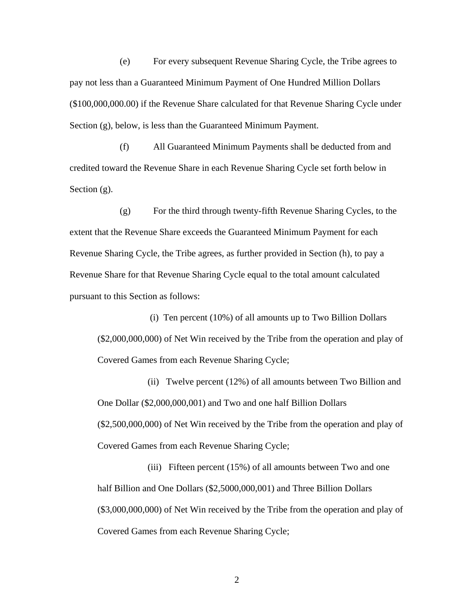(e) For every subsequent Revenue Sharing Cycle, the Tribe agrees to pay not less than a Guaranteed Minimum Payment of One Hundred Million Dollars (\$100,000,000.00) if the Revenue Share calculated for that Revenue Sharing Cycle under Section (g), below, is less than the Guaranteed Minimum Payment.

(f) All Guaranteed Minimum Payments shall be deducted from and credited toward the Revenue Share in each Revenue Sharing Cycle set forth below in Section (g).

(g) For the third through twenty-fifth Revenue Sharing Cycles, to the extent that the Revenue Share exceeds the Guaranteed Minimum Payment for each Revenue Sharing Cycle, the Tribe agrees, as further provided in Section (h), to pay a Revenue Share for that Revenue Sharing Cycle equal to the total amount calculated pursuant to this Section as follows:

(i) Ten percent (10%) of all amounts up to Two Billion Dollars (\$2,000,000,000) of Net Win received by the Tribe from the operation and play of Covered Games from each Revenue Sharing Cycle;

(ii) Twelve percent (12%) of all amounts between Two Billion and One Dollar (\$2,000,000,001) and Two and one half Billion Dollars (\$2,500,000,000) of Net Win received by the Tribe from the operation and play of Covered Games from each Revenue Sharing Cycle;

(iii) Fifteen percent (15%) of all amounts between Two and one half Billion and One Dollars (\$2,5000,000,001) and Three Billion Dollars (\$3,000,000,000) of Net Win received by the Tribe from the operation and play of Covered Games from each Revenue Sharing Cycle;

2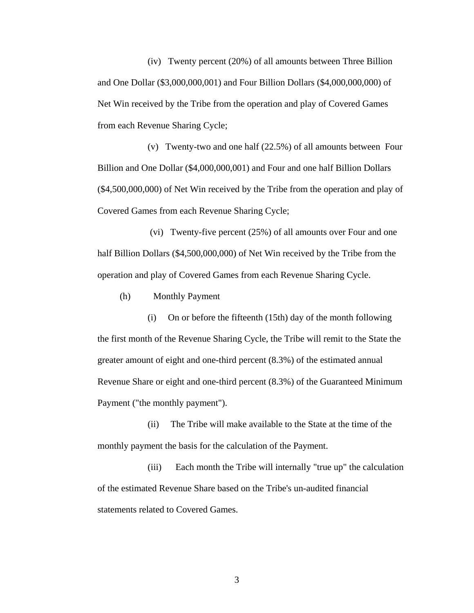(iv) Twenty percent (20%) of all amounts between Three Billion and One Dollar (\$3,000,000,001) and Four Billion Dollars (\$4,000,000,000) of Net Win received by the Tribe from the operation and play of Covered Games from each Revenue Sharing Cycle;

(v) Twenty-two and one half (22.5%) of all amounts between Four Billion and One Dollar (\$4,000,000,001) and Four and one half Billion Dollars (\$4,500,000,000) of Net Win received by the Tribe from the operation and play of Covered Games from each Revenue Sharing Cycle;

(vi) Twenty-five percent (25%) of all amounts over Four and one half Billion Dollars (\$4,500,000,000) of Net Win received by the Tribe from the operation and play of Covered Games from each Revenue Sharing Cycle.

(h) Monthly Payment

(i) On or before the fifteenth (15th) day of the month following the first month of the Revenue Sharing Cycle, the Tribe will remit to the State the greater amount of eight and one-third percent (8.3%) of the estimated annual Revenue Share or eight and one-third percent (8.3%) of the Guaranteed Minimum Payment ("the monthly payment").

(ii) The Tribe will make available to the State at the time of the monthly payment the basis for the calculation of the Payment.

(iii) Each month the Tribe will internally "true up" the calculation of the estimated Revenue Share based on the Tribe's un-audited financial statements related to Covered Games.

3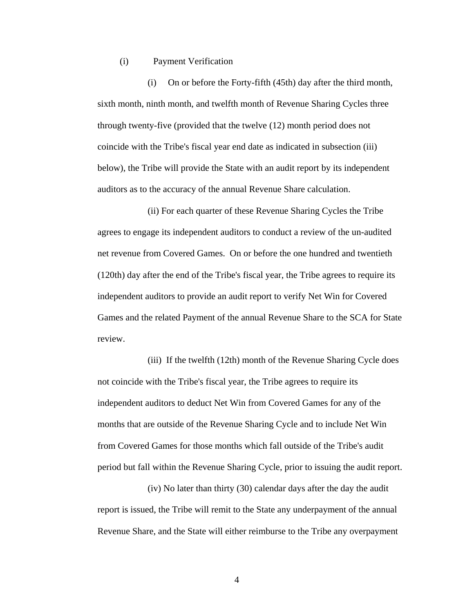(i) Payment Verification

(i) On or before the Forty-fifth (45th) day after the third month, sixth month, ninth month, and twelfth month of Revenue Sharing Cycles three through twenty-five (provided that the twelve (12) month period does not coincide with the Tribe's fiscal year end date as indicated in subsection (iii) below), the Tribe will provide the State with an audit report by its independent auditors as to the accuracy of the annual Revenue Share calculation.

(ii) For each quarter of these Revenue Sharing Cycles the Tribe agrees to engage its independent auditors to conduct a review of the un-audited net revenue from Covered Games. On or before the one hundred and twentieth (120th) day after the end of the Tribe's fiscal year, the Tribe agrees to require its independent auditors to provide an audit report to verify Net Win for Covered Games and the related Payment of the annual Revenue Share to the SCA for State review.

(iii) If the twelfth (12th) month of the Revenue Sharing Cycle does not coincide with the Tribe's fiscal year, the Tribe agrees to require its independent auditors to deduct Net Win from Covered Games for any of the months that are outside of the Revenue Sharing Cycle and to include Net Win from Covered Games for those months which fall outside of the Tribe's audit period but fall within the Revenue Sharing Cycle, prior to issuing the audit report.

(iv) No later than thirty (30) calendar days after the day the audit report is issued, the Tribe will remit to the State any underpayment of the annual Revenue Share, and the State will either reimburse to the Tribe any overpayment

4